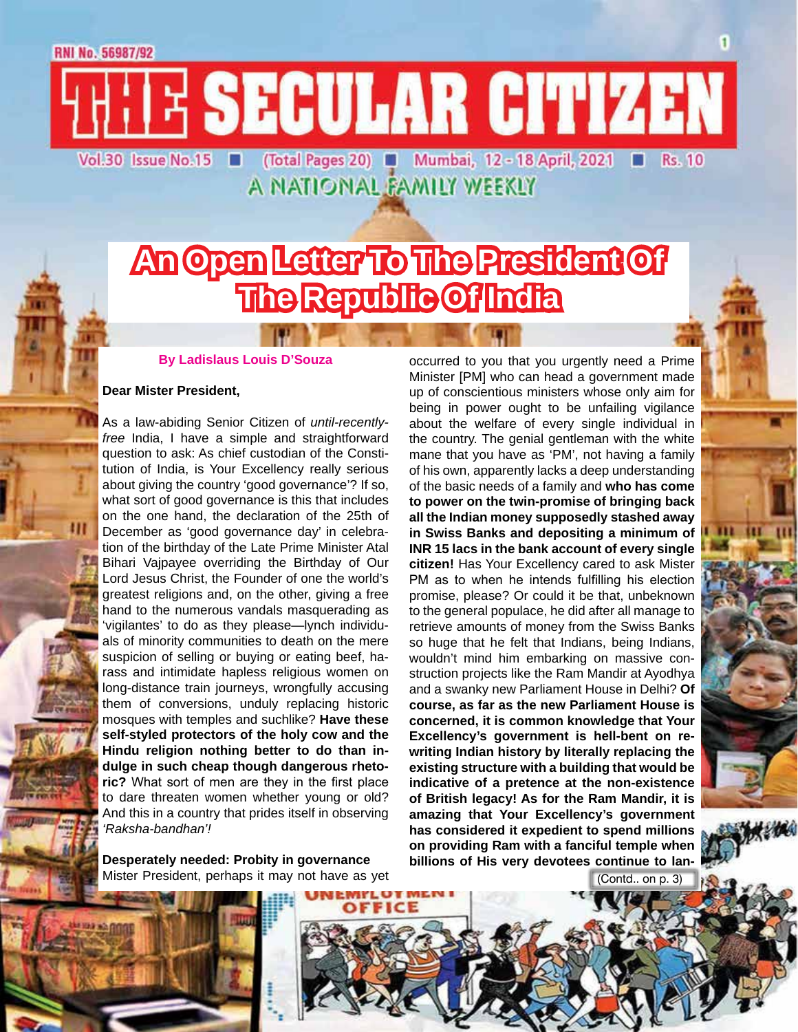Vol.30 Issue No.15 | (Total Pages 20) | Mumbai, 12 - 18 April, 2021 | Rs. 10 A NATIONAL FAMILY WEEKLY

E SECULAR CITIZEN

## **An Open Letter To The President Of The Republic Of India**

#### **By Ladislaus Louis D'Souza**

#### **Dear Mister President,**

Ш

As a law-abiding Senior Citizen of *until-recentlyfree* India, I have a simple and straightforward question to ask: As chief custodian of the Constitution of India, is Your Excellency really serious about giving the country 'good governance'? If so, what sort of good governance is this that includes on the one hand, the declaration of the 25th of December as 'good governance day' in celebration of the birthday of the Late Prime Minister Atal Bihari Vajpayee overriding the Birthday of Our Lord Jesus Christ, the Founder of one the world's greatest religions and, on the other, giving a free hand to the numerous vandals masquerading as 'vigilantes' to do as they please—lynch individuals of minority communities to death on the mere suspicion of selling or buying or eating beef, harass and intimidate hapless religious women on long-distance train journeys, wrongfully accusing them of conversions, unduly replacing historic mosques with temples and suchlike? **Have these self-styled protectors of the holy cow and the Hindu religion nothing better to do than indulge in such cheap though dangerous rhetoric?** What sort of men are they in the first place to dare threaten women whether young or old? And this in a country that prides itself in observing *'Raksha-bandhan'!*

**Desperately needed: Probity in governance** Mister President, perhaps it may not have as yet (Contd.. on p. 3)

> EMITLUT ME 1 C E

occurred to you that you urgently need a Prime Minister [PM] who can head a government made up of conscientious ministers whose only aim for being in power ought to be unfailing vigilance about the welfare of every single individual in the country. The genial gentleman with the white mane that you have as 'PM', not having a family of his own, apparently lacks a deep understanding of the basic needs of a family and **who has come to power on the twin-promise of bringing back all the Indian money supposedly stashed away in Swiss Banks and depositing a minimum of INR 15 lacs in the bank account of every single citizen!** Has Your Excellency cared to ask Mister PM as to when he intends fulfilling his election promise, please? Or could it be that, unbeknown to the general populace, he did after all manage to retrieve amounts of money from the Swiss Banks so huge that he felt that Indians, being Indians, wouldn't mind him embarking on massive construction projects like the Ram Mandir at Ayodhya and a swanky new Parliament House in Delhi? **Of course, as far as the new Parliament House is concerned, it is common knowledge that Your Excellency's government is hell-bent on rewriting Indian history by literally replacing the existing structure with a building that would be indicative of a pretence at the non-existence of British legacy! As for the Ram Mandir, it is amazing that Your Excellency's government has considered it expedient to spend millions on providing Ram with a fanciful temple when billions of His very devotees continue to lan-**



ш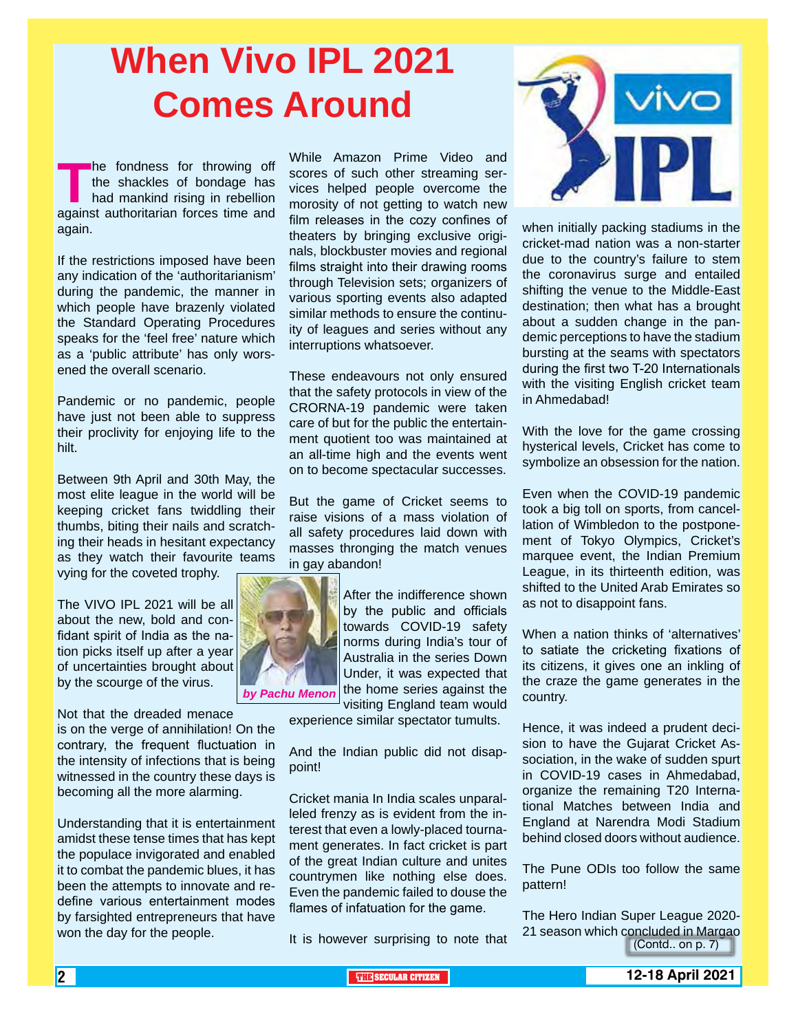## **When Vivo IPL 2021 Comes Around**

**The fondness for throwing off** the shackles of bondage has had mankind rising in rebellion against authoritarian forces time and the shackles of bondage has had mankind rising in rebellion again.

If the restrictions imposed have been any indication of the 'authoritarianism' during the pandemic, the manner in which people have brazenly violated the Standard Operating Procedures speaks for the 'feel free' nature which as a 'public attribute' has only worsened the overall scenario.

Pandemic or no pandemic, people have just not been able to suppress their proclivity for enjoying life to the hilt.

Between 9th April and 30th May, the most elite league in the world will be keeping cricket fans twiddling their thumbs, biting their nails and scratching their heads in hesitant expectancy as they watch their favourite teams vying for the coveted trophy.

The VIVO IPL 2021 will be all about the new, bold and confidant spirit of India as the nation picks itself up after a year of uncertainties brought about by the scourge of the virus.

Not that the dreaded menace is on the verge of annihilation! On the contrary, the frequent fluctuation in the intensity of infections that is being witnessed in the country these days is becoming all the more alarming.

Understanding that it is entertainment amidst these tense times that has kept the populace invigorated and enabled it to combat the pandemic blues, it has been the attempts to innovate and redefine various entertainment modes by farsighted entrepreneurs that have won the day for the people.

While Amazon Prime Video and scores of such other streaming services helped people overcome the morosity of not getting to watch new film releases in the cozy confines of theaters by bringing exclusive originals, blockbuster movies and regional films straight into their drawing rooms through Television sets; organizers of various sporting events also adapted similar methods to ensure the continuity of leagues and series without any interruptions whatsoever.

These endeavours not only ensured that the safety protocols in view of the CRORNA-19 pandemic were taken care of but for the public the entertainment quotient too was maintained at an all-time high and the events went on to become spectacular successes.

But the game of Cricket seems to raise visions of a mass violation of all safety procedures laid down with masses thronging the match venues in gay abandon!



After the indifference shown by the public and officials towards COVID-19 safety norms during India's tour of Australia in the series Down Under, it was expected that the home series against the visiting England team would

experience similar spectator tumults.

And the Indian public did not disappoint!

Cricket mania In India scales unparalleled frenzy as is evident from the interest that even a lowly-placed tournament generates. In fact cricket is part of the great Indian culture and unites countrymen like nothing else does. Even the pandemic failed to douse the flames of infatuation for the game.

It is however surprising to note that



when initially packing stadiums in the cricket-mad nation was a non-starter due to the country's failure to stem the coronavirus surge and entailed shifting the venue to the Middle-East destination; then what has a brought about a sudden change in the pandemic perceptions to have the stadium bursting at the seams with spectators during the first two T-20 Internationals with the visiting English cricket team in Ahmedabad!

With the love for the game crossing hysterical levels, Cricket has come to symbolize an obsession for the nation.

Even when the COVID-19 pandemic took a big toll on sports, from cancellation of Wimbledon to the postponement of Tokyo Olympics, Cricket's marquee event, the Indian Premium League, in its thirteenth edition, was shifted to the United Arab Emirates so as not to disappoint fans.

When a nation thinks of 'alternatives' to satiate the cricketing fixations of its citizens, it gives one an inkling of the craze the game generates in the country.

Hence, it was indeed a prudent decision to have the Gujarat Cricket Association, in the wake of sudden spurt in COVID-19 cases in Ahmedabad, organize the remaining T20 International Matches between India and England at Narendra Modi Stadium behind closed doors without audience.

The Pune ODIs too follow the same pattern!

The Hero Indian Super League 2020- 21 season which concluded in Margao (Contd.. on p. 7)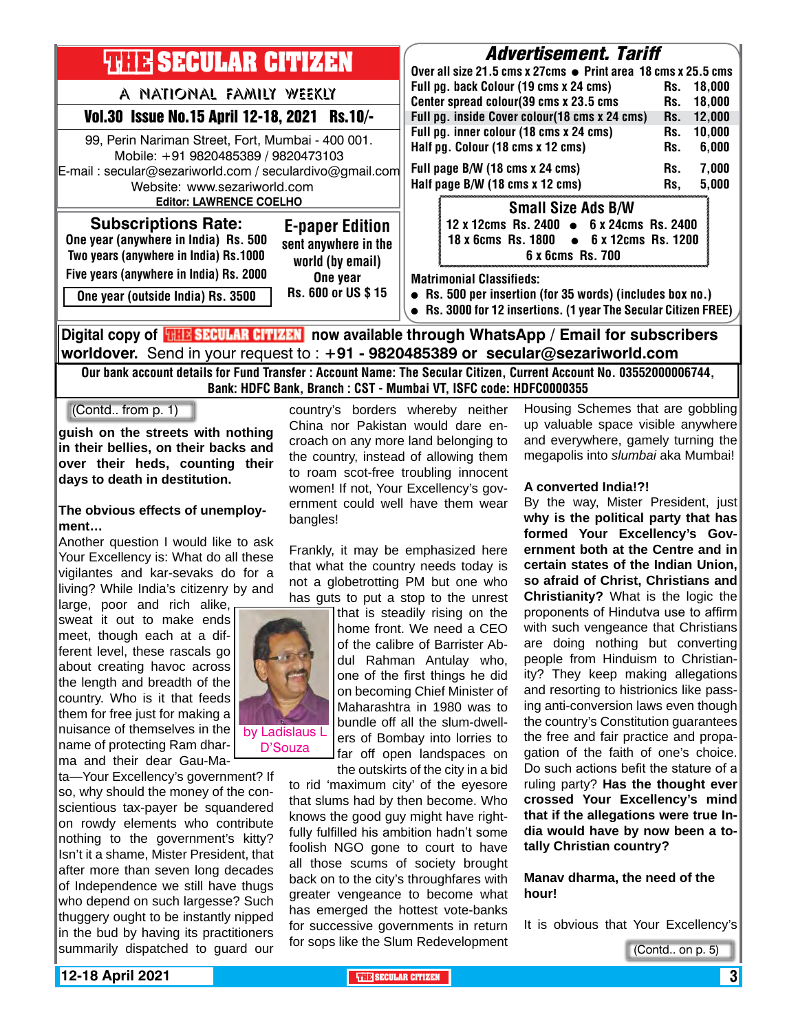| <b>THIR SECULAR CITIZEN</b>                                                                                                                                                                                         | <b>Advertisement. Tariff</b>                                                                                                                                                                                        |
|---------------------------------------------------------------------------------------------------------------------------------------------------------------------------------------------------------------------|---------------------------------------------------------------------------------------------------------------------------------------------------------------------------------------------------------------------|
|                                                                                                                                                                                                                     | Over all size 21.5 cms x 27cms ● Print area 18 cms x 25.5 cms                                                                                                                                                       |
| A NATIONAL FAMILY WEEKLY                                                                                                                                                                                            | Full pg. back Colour (19 cms x 24 cms)<br>18.000<br>Rs.                                                                                                                                                             |
| Vol.30 Issue No.15 April 12-18, 2021 Rs.10/-                                                                                                                                                                        | Center spread colour(39 cms x 23.5 cms<br>18,000<br>Rs.<br>Full pg. inside Cover colour(18 cms x 24 cms)<br>12,000<br>Rs.                                                                                           |
| 99, Perin Nariman Street, Fort, Mumbai - 400 001.<br>Mobile: +91 9820485389 / 9820473103<br>E-mail: secular@sezariworld.com / seculardivo@gmail.com<br>Website: www.sezariworld.com                                 | Full pg. inner colour (18 cms x 24 cms)<br>10,000<br>Rs.<br>Half pg. Colour (18 cms x 12 cms)<br>6,000<br>Rs.<br>Full page B/W (18 cms x 24 cms)<br>7,000<br>Rs.<br>Half page B/W (18 cms x 12 cms)<br>5,000<br>Rs, |
| <b>Editor: LAWRENCE COELHO</b><br><b>Subscriptions Rate:</b><br><b>E-paper Edition</b><br>One year (anywhere in India) Rs. 500<br>sent anywhere in the<br>Two years (anywhere in India) Rs.1000<br>world (by email) | <b>Small Size Ads B/W</b><br>12 x 12cms Rs. 2400 • 6 x 24cms Rs. 2400<br>18 x 6cms Rs. 1800 • 6 x 12cms Rs. 1200<br>6 x 6cms Rs. 700                                                                                |
| Five years (anywhere in India) Rs. 2000<br>One year<br>Rs. 600 or US \$15<br>One year (outside India) Rs. 3500                                                                                                      | <b>Matrimonial Classifieds:</b><br>• Rs. 500 per insertion (for 35 words) (includes box no.)<br>• Rs. 3000 for 12 insertions. (1 year The Secular Citizen FREE)                                                     |
| Digital copy of <mark>珊球SECULAR CITIMAN</mark> now available through WhatsApp / Email for subscribers                                                                                                               |                                                                                                                                                                                                                     |

**worldover.** Send in your request to : **+91 - 9820485389 or secular@sezariworld.com** Our bank account details for Fund Transfer : Account Name: The Secular Citizen, Current Account No. 03552000006744, Bank: HDFC Bank, Branch : CST - Mumbai VT, ISFC code: HDFC0000355

(Contd.. from p. 1)

**guish on the streets with nothing in their bellies, on their backs and over their heds, counting their days to death in destitution.**

#### **The obvious effects of unemployment…**

Another question I would like to ask Your Excellency is: What do all these vigilantes and kar-sevaks do for a living? While India's citizenry by and

large, poor and rich alike, sweat it out to make ends meet, though each at a different level, these rascals go about creating havoc across the length and breadth of the country. Who is it that feeds them for free just for making a nuisance of themselves in the name of protecting Ram dharma and their dear Gau-Ma-

ta—Your Excellency's government? If so, why should the money of the conscientious tax-payer be squandered on rowdy elements who contribute nothing to the government's kitty? Isn't it a shame, Mister President, that after more than seven long decades of Independence we still have thugs who depend on such largesse? Such thuggery ought to be instantly nipped in the bud by having its practitioners summarily dispatched to guard our

country's borders whereby neither China nor Pakistan would dare encroach on any more land belonging to the country, instead of allowing them to roam scot-free troubling innocent women! If not, Your Excellency's government could well have them wear bangles!

Frankly, it may be emphasized here that what the country needs today is not a globetrotting PM but one who has guts to put a stop to the unrest

> that is steadily rising on the home front. We need a CEO of the calibre of Barrister Abdul Rahman Antulay who, one of the first things he did on becoming Chief Minister of Maharashtra in 1980 was to bundle off all the slum-dwellers of Bombay into lorries to far off open landspaces on

the outskirts of the city in a bid to rid 'maximum city' of the eyesore that slums had by then become. Who knows the good guy might have rightfully fulfilled his ambition hadn't some foolish NGO gone to court to have all those scums of society brought back on to the city's throughfares with greater vengeance to become what has emerged the hottest vote-banks for successive governments in return for sops like the Slum Redevelopment Housing Schemes that are gobbling up valuable space visible anywhere and everywhere, gamely turning the megapolis into *slumbai* aka Mumbai!

#### **A converted India!?!**

By the way, Mister President, just **why is the political party that has formed Your Excellency's Government both at the Centre and in certain states of the Indian Union, so afraid of Christ, Christians and Christianity?** What is the logic the proponents of Hindutva use to affirm with such vengeance that Christians are doing nothing but converting people from Hinduism to Christianity? They keep making allegations and resorting to histrionics like passing anti-conversion laws even though the country's Constitution guarantees the free and fair practice and propagation of the faith of one's choice. Do such actions befit the stature of a ruling party? **Has the thought ever crossed Your Excellency's mind that if the allegations were true India would have by now been a totally Christian country?**

#### **Manav dharma, the need of the hour!**

It is obvious that Your Excellency's

(Contd.. on p. 5)

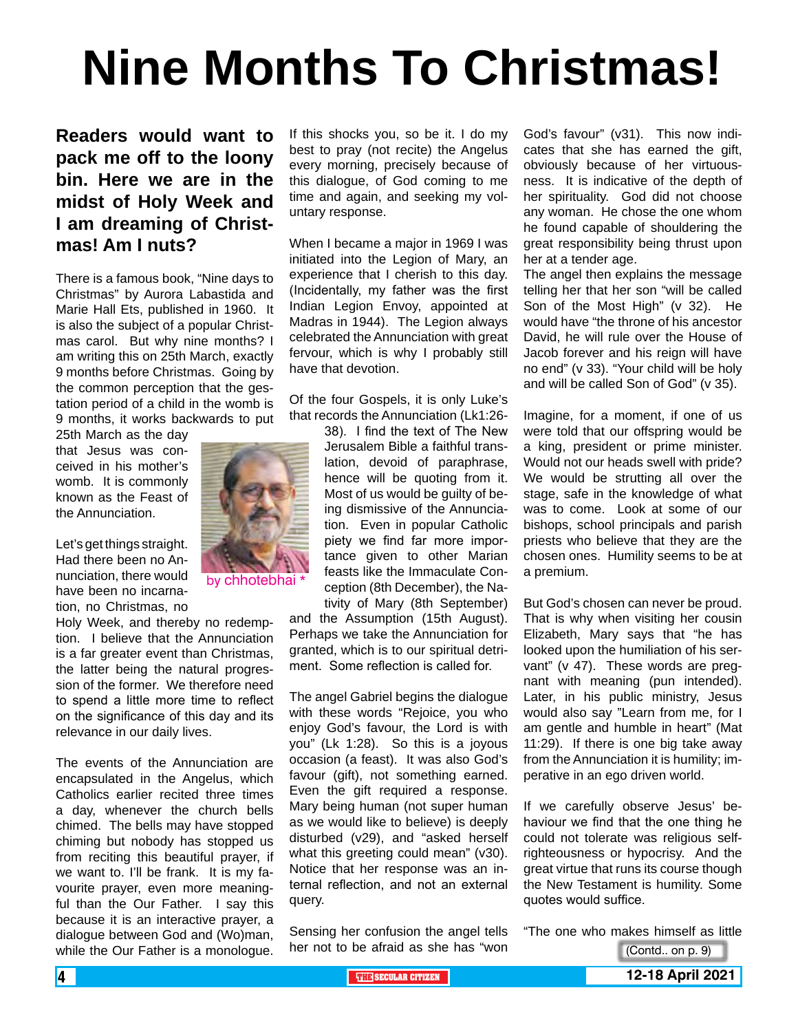# **Nine Months To Christmas!**

#### **Readers would want to pack me off to the loony bin. Here we are in the midst of Holy Week and I am dreaming of Christmas! Am I nuts?**

There is a famous book, "Nine days to Christmas" by Aurora Labastida and Marie Hall Ets, published in 1960. It is also the subject of a popular Christmas carol. But why nine months? I am writing this on 25th March, exactly 9 months before Christmas. Going by the common perception that the gestation period of a child in the womb is 9 months, it works backwards to put

25th March as the day that Jesus was conceived in his mother's womb. It is commonly known as the Feast of the Annunciation.

Let's get things straight. Had there been no Annunciation, there would have been no incarnation, no Christmas, no

Holy Week, and thereby no redemption. I believe that the Annunciation is a far greater event than Christmas, the latter being the natural progression of the former. We therefore need to spend a little more time to reflect on the significance of this day and its relevance in our daily lives.

The events of the Annunciation are encapsulated in the Angelus, which Catholics earlier recited three times a day, whenever the church bells chimed. The bells may have stopped chiming but nobody has stopped us from reciting this beautiful prayer, if we want to. I'll be frank. It is my favourite prayer, even more meaningful than the Our Father. I say this because it is an interactive prayer, a dialogue between God and (Wo)man, while the Our Father is a monologue.

If this shocks you, so be it. I do my best to pray (not recite) the Angelus every morning, precisely because of this dialogue, of God coming to me time and again, and seeking my voluntary response.

When I became a major in 1969 I was initiated into the Legion of Mary, an experience that I cherish to this day. (Incidentally, my father was the first Indian Legion Envoy, appointed at Madras in 1944). The Legion always celebrated the Annunciation with great fervour, which is why I probably still have that devotion.

Of the four Gospels, it is only Luke's that records the Annunciation (Lk1:26-

> 38). I find the text of The New Jerusalem Bible a faithful translation, devoid of paraphrase, hence will be quoting from it. Most of us would be guilty of being dismissive of the Annunciation. Even in popular Catholic piety we find far more importance given to other Marian feasts like the Immaculate Conception (8th December), the Nativity of Mary (8th September)

and the Assumption (15th August). Perhaps we take the Annunciation for granted, which is to our spiritual detriment. Some reflection is called for.

The angel Gabriel begins the dialogue with these words "Rejoice, you who enjoy God's favour, the Lord is with you" (Lk 1:28). So this is a joyous occasion (a feast). It was also God's favour (gift), not something earned. Even the gift required a response. Mary being human (not super human as we would like to believe) is deeply disturbed (v29), and "asked herself what this greeting could mean" (v30). Notice that her response was an internal reflection, and not an external query.

Sensing her confusion the angel tells her not to be afraid as she has "won God's favour" (v31). This now indicates that she has earned the gift, obviously because of her virtuousness. It is indicative of the depth of her spirituality. God did not choose any woman. He chose the one whom he found capable of shouldering the great responsibility being thrust upon her at a tender age.

The angel then explains the message telling her that her son "will be called Son of the Most High" (v 32). He would have "the throne of his ancestor David, he will rule over the House of Jacob forever and his reign will have no end" (v 33). "Your child will be holy and will be called Son of God" (v 35).

Imagine, for a moment, if one of us were told that our offspring would be a king, president or prime minister. Would not our heads swell with pride? We would be strutting all over the stage, safe in the knowledge of what was to come. Look at some of our bishops, school principals and parish priests who believe that they are the chosen ones. Humility seems to be at a premium.

But God's chosen can never be proud. That is why when visiting her cousin Elizabeth, Mary says that "he has looked upon the humiliation of his servant" (v 47). These words are pregnant with meaning (pun intended). Later, in his public ministry, Jesus would also say "Learn from me, for I am gentle and humble in heart" (Mat 11:29). If there is one big take away from the Annunciation it is humility; imperative in an ego driven world.

If we carefully observe Jesus' behaviour we find that the one thing he could not tolerate was religious selfrighteousness or hypocrisy. And the great virtue that runs its course though the New Testament is humility. Some quotes would suffice.

"The one who makes himself as little (Contd.. on p. 9)



by chhotebhai \*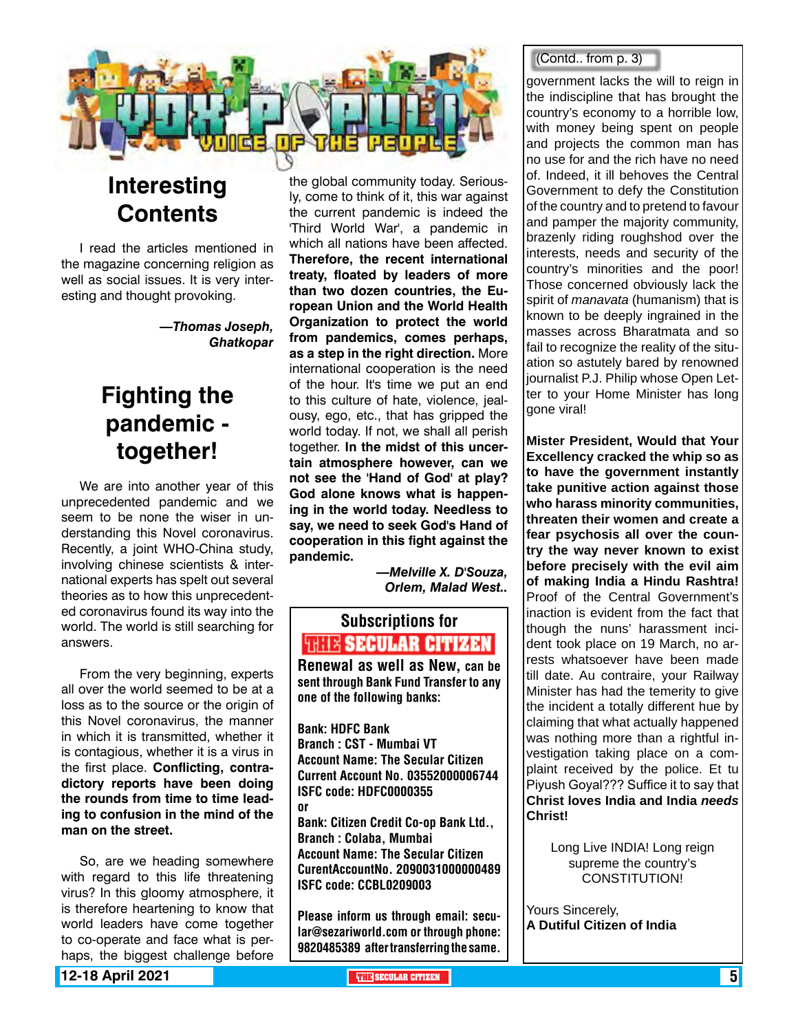

### **Interesting Contents**

I read the articles mentioned in the magazine concerning religion as well as social issues. It is very interesting and thought provoking.

> *—Thomas Joseph, Ghatkopar*

### **Fighting the pandemic together!**

We are into another year of this unprecedented pandemic and we seem to be none the wiser in understanding this Novel coronavirus. Recently, a joint WHO-China study, involving chinese scientists & international experts has spelt out several theories as to how this unprecedented coronavirus found its way into the world. The world is still searching for answers.

From the very beginning, experts all over the world seemed to be at a loss as to the source or the origin of this Novel coronavirus, the manner in which it is transmitted, whether it is contagious, whether it is a virus in the first place. **Conflicting, contradictory reports have been doing the rounds from time to time leading to confusion in the mind of the man on the street.**

So, are we heading somewhere with regard to this life threatening virus? In this gloomy atmosphere, it is therefore heartening to know that world leaders have come together to co-operate and face what is perhaps, the biggest challenge before

the global community today. Seriously, come to think of it, this war against the current pandemic is indeed the 'Third World War', a pandemic in which all nations have been affected. **Therefore, the recent international treaty, floated by leaders of more than two dozen countries, the European Union and the World Health Organization to protect the world from pandemics, comes perhaps, as a step in the right direction.** More international cooperation is the need of the hour. It's time we put an end to this culture of hate, violence, jealousy, ego, etc., that has gripped the world today. If not, we shall all perish together. **In the midst of this uncertain atmosphere however, can we not see the 'Hand of God' at play? God alone knows what is happening in the world today. Needless to say, we need to seek God's Hand of cooperation in this fight against the pandemic.**

> *—Melville X. D'Souza, Orlem, Malad West..*

### Subscriptions for **THIF SECULAR CITIZEN**<br>Renewal as well as New, can be

sent through Bank Fund Transfer to any one of the following banks:

Bank: HDFC Bank Branch : CST - Mumbai VT Account Name: The Secular Citizen Current Account No. 03552000006744 ISFC code: HDFC0000355 or Bank: Citizen Credit Co-op Bank Ltd., Branch : Colaba, Mumbai Account Name: The Secular Citizen CurentAccountNo. 2090031000000489 ISFC code: CCBL0209003

Please inform us through email: secular@sezariworld.com or through phone: 9820485389 after transferring the same.

#### (Contd.. from p. 3)

government lacks the will to reign in the indiscipline that has brought the country's economy to a horrible low, with money being spent on people and projects the common man has no use for and the rich have no need of. Indeed, it ill behoves the Central Government to defy the Constitution of the country and to pretend to favour and pamper the majority community, brazenly riding roughshod over the interests, needs and security of the country's minorities and the poor! Those concerned obviously lack the spirit of *manavata* (humanism) that is known to be deeply ingrained in the masses across Bharatmata and so fail to recognize the reality of the situation so astutely bared by renowned journalist P.J. Philip whose Open Letter to your Home Minister has long gone viral!

**Mister President, Would that Your Excellency cracked the whip so as to have the government instantly take punitive action against those who harass minority communities, threaten their women and create a fear psychosis all over the country the way never known to exist before precisely with the evil aim of making India a Hindu Rashtra!** Proof of the Central Government's inaction is evident from the fact that though the nuns' harassment incident took place on 19 March, no arrests whatsoever have been made till date. Au contraire, your Railway Minister has had the temerity to give the incident a totally different hue by claiming that what actually happened was nothing more than a rightful investigation taking place on a complaint received by the police. Et tu Piyush Goyal??? Suffice it to say that **Christ loves India and India** *needs* **Christ!**

> Long Live INDIA! Long reign supreme the country's CONSTITUTION!

Yours Sincerely, **A Dutiful Citizen of India**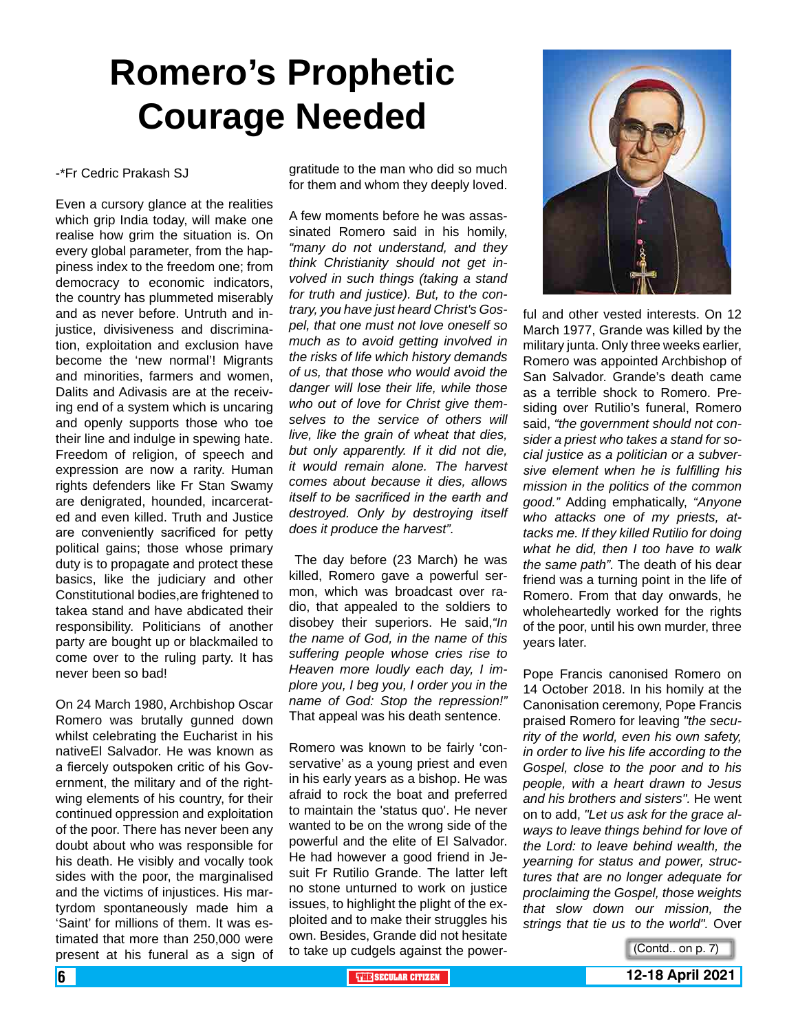## **Romero's Prophetic Courage Needed**

#### -\*Fr Cedric Prakash SJ

Even a cursory glance at the realities which grip India today, will make one realise how grim the situation is. On every global parameter, from the happiness index to the freedom one; from democracy to economic indicators, the country has plummeted miserably and as never before. Untruth and injustice, divisiveness and discrimination, exploitation and exclusion have become the 'new normal'! Migrants and minorities, farmers and women, Dalits and Adivasis are at the receiving end of a system which is uncaring and openly supports those who toe their line and indulge in spewing hate. Freedom of religion, of speech and expression are now a rarity. Human rights defenders like Fr Stan Swamy are denigrated, hounded, incarcerated and even killed. Truth and Justice are conveniently sacrificed for petty political gains; those whose primary duty is to propagate and protect these basics, like the judiciary and other Constitutional bodies,are frightened to takea stand and have abdicated their responsibility. Politicians of another party are bought up or blackmailed to come over to the ruling party. It has never been so bad!

On 24 March 1980, Archbishop Oscar Romero was brutally gunned down whilst celebrating the Eucharist in his nativeEl Salvador. He was known as a fiercely outspoken critic of his Government, the military and of the rightwing elements of his country, for their continued oppression and exploitation of the poor. There has never been any doubt about who was responsible for his death. He visibly and vocally took sides with the poor, the marginalised and the victims of injustices. His martyrdom spontaneously made him a 'Saint' for millions of them. It was estimated that more than 250,000 were present at his funeral as a sign of

gratitude to the man who did so much for them and whom they deeply loved.

A few moments before he was assassinated Romero said in his homily, *"many do not understand, and they think Christianity should not get involved in such things (taking a stand for truth and justice). But, to the contrary, you have just heard Christ's Gospel, that one must not love oneself so much as to avoid getting involved in the risks of life which history demands of us, that those who would avoid the danger will lose their life, while those who out of love for Christ give themselves to the service of others will live, like the grain of wheat that dies, but only apparently. If it did not die, it would remain alone. The harvest comes about because it dies, allows itself to be sacrificed in the earth and destroyed. Only by destroying itself does it produce the harvest".*

 The day before (23 March) he was killed, Romero gave a powerful sermon, which was broadcast over radio, that appealed to the soldiers to disobey their superiors. He said,*"In the name of God, in the name of this suffering people whose cries rise to Heaven more loudly each day, I implore you, I beg you, I order you in the name of God: Stop the repression!"* That appeal was his death sentence.

Romero was known to be fairly 'conservative' as a young priest and even in his early years as a bishop. He was afraid to rock the boat and preferred to maintain the 'status quo'. He never wanted to be on the wrong side of the powerful and the elite of El Salvador. He had however a good friend in Jesuit Fr Rutilio Grande. The latter left no stone unturned to work on justice issues, to highlight the plight of the exploited and to make their struggles his own. Besides, Grande did not hesitate to take up cudgels against the power-



ful and other vested interests. On 12 March 1977, Grande was killed by the military junta. Only three weeks earlier, Romero was appointed Archbishop of San Salvador. Grande's death came as a terrible shock to Romero. Presiding over Rutilio's funeral, Romero said, *"the government should not consider a priest who takes a stand for social justice as a politician or a subversive element when he is fulfilling his mission in the politics of the common good."* Adding emphatically, *"Anyone who attacks one of my priests, attacks me. If they killed Rutilio for doing what he did, then I too have to walk the same path".* The death of his dear friend was a turning point in the life of Romero. From that day onwards, he wholeheartedly worked for the rights of the poor, until his own murder, three years later.

Pope Francis canonised Romero on 14 October 2018. In his homily at the Canonisation ceremony, Pope Francis praised Romero for leaving *"the security of the world, even his own safety, in order to live his life according to the Gospel, close to the poor and to his people, with a heart drawn to Jesus and his brothers and sisters".* He went on to add, *"Let us ask for the grace always to leave things behind for love of the Lord: to leave behind wealth, the yearning for status and power, structures that are no longer adequate for proclaiming the Gospel, those weights that slow down our mission, the strings that tie us to the world".* Over

(Contd.. on p. 7)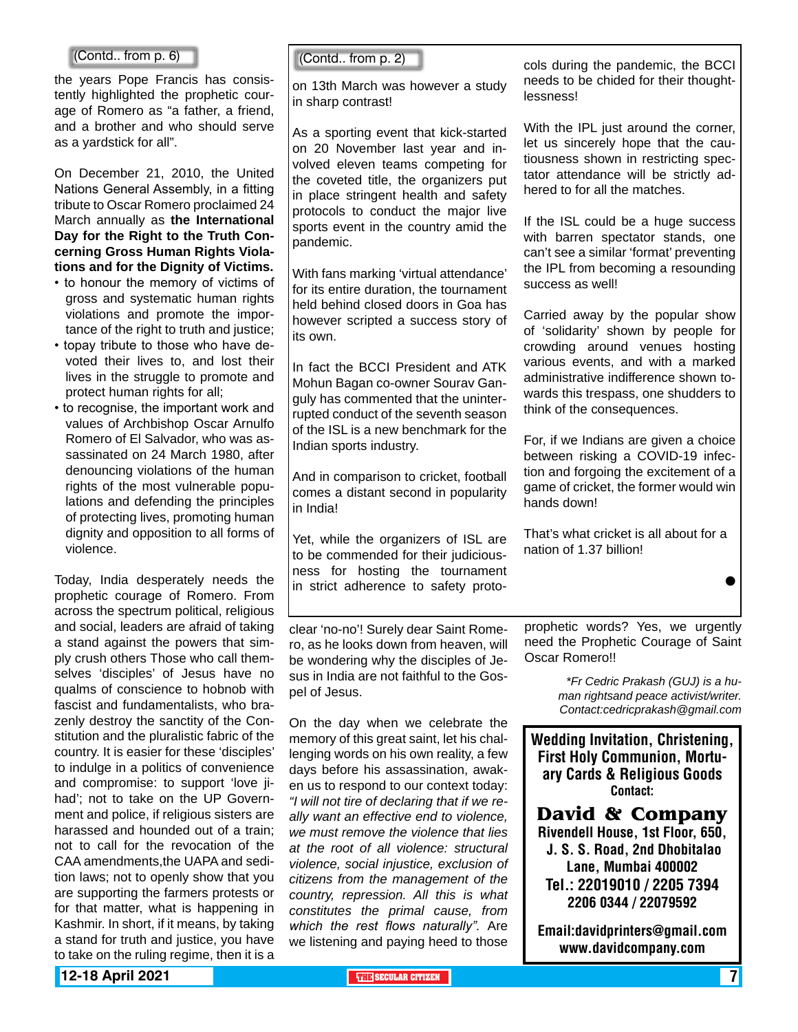#### (Contd.. from p. 6)

the years Pope Francis has consistently highlighted the prophetic courage of Romero as "a father, a friend, and a brother and who should serve as a yardstick for all".

On December 21, 2010, the United Nations General Assembly, in a fitting tribute to Oscar Romero proclaimed 24 March annually as **the International Day for the Right to the Truth Concerning Gross Human Rights Violations and for the Dignity of Victims.** 

- to honour the memory of victims of gross and systematic human rights violations and promote the importance of the right to truth and justice;
- topay tribute to those who have devoted their lives to, and lost their lives in the struggle to promote and protect human rights for all;
- to recognise, the important work and values of Archbishop Oscar Arnulfo Romero of El Salvador, who was assassinated on 24 March 1980, after denouncing violations of the human rights of the most vulnerable populations and defending the principles of protecting lives, promoting human dignity and opposition to all forms of violence.

Today, India desperately needs the prophetic courage of Romero. From across the spectrum political, religious and social, leaders are afraid of taking a stand against the powers that simply crush others Those who call themselves 'disciples' of Jesus have no qualms of conscience to hobnob with fascist and fundamentalists, who brazenly destroy the sanctity of the Constitution and the pluralistic fabric of the country. It is easier for these 'disciples' to indulge in a politics of convenience and compromise: to support 'love jihad'; not to take on the UP Government and police, if religious sisters are harassed and hounded out of a train; not to call for the revocation of the CAA amendments,the UAPA and sedition laws; not to openly show that you are supporting the farmers protests or for that matter, what is happening in Kashmir. In short, if it means, by taking a stand for truth and justice, you have to take on the ruling regime, then it is a

(Contd.. from p. 2)

on 13th March was however a study in sharp contrast!

As a sporting event that kick-started on 20 November last year and involved eleven teams competing for the coveted title, the organizers put in place stringent health and safety protocols to conduct the major live sports event in the country amid the pandemic.

With fans marking 'virtual attendance' for its entire duration, the tournament held behind closed doors in Goa has however scripted a success story of its own.

In fact the BCCI President and ATK Mohun Bagan co-owner Sourav Ganguly has commented that the uninterrupted conduct of the seventh season of the ISL is a new benchmark for the Indian sports industry.

And in comparison to cricket, football comes a distant second in popularity in India!

Yet, while the organizers of ISL are to be commended for their judiciousness for hosting the tournament in strict adherence to safety proto-

clear 'no-no'! Surely dear Saint Romero, as he looks down from heaven, will be wondering why the disciples of Jesus in India are not faithful to the Gospel of Jesus.

On the day when we celebrate the memory of this great saint, let his challenging words on his own reality, a few days before his assassination, awaken us to respond to our context today: *"I will not tire of declaring that if we really want an effective end to violence, we must remove the violence that lies at the root of all violence: structural violence, social injustice, exclusion of citizens from the management of the country, repression. All this is what constitutes the primal cause, from which the rest flows naturally".* Are we listening and paying heed to those

cols during the pandemic, the BCCI needs to be chided for their thoughtlessness!

With the IPL just around the corner, let us sincerely hope that the cautiousness shown in restricting spectator attendance will be strictly adhered to for all the matches.

If the ISL could be a huge success with barren spectator stands, one can't see a similar 'format' preventing the IPL from becoming a resounding success as well!

Carried away by the popular show of 'solidarity' shown by people for crowding around venues hosting various events, and with a marked administrative indifference shown towards this trespass, one shudders to think of the consequences.

For, if we Indians are given a choice between risking a COVID-19 infection and forgoing the excitement of a game of cricket, the former would win hands down!

That's what cricket is all about for a nation of 1.37 billion!

 $\bullet$ 

prophetic words? Yes, we urgently need the Prophetic Courage of Saint Oscar Romero!!

> *\*Fr Cedric Prakash (GUJ) is a human rightsand peace activist/writer. Contact:cedricprakash@gmail.com*

Wedding Invitation, Christening, First Holy Communion, Mortuary Cards & Religious Goods Contact:

**David & Company** Rivendell House, 1st Floor, 650, J. S. S. Road, 2nd Dhobitalao Lane, Mumbai 400002 Tel.: 22019010 / 2205 7394 2206 0344 / 22079592

Email:davidprinters@gmail.com www.davidcompany.com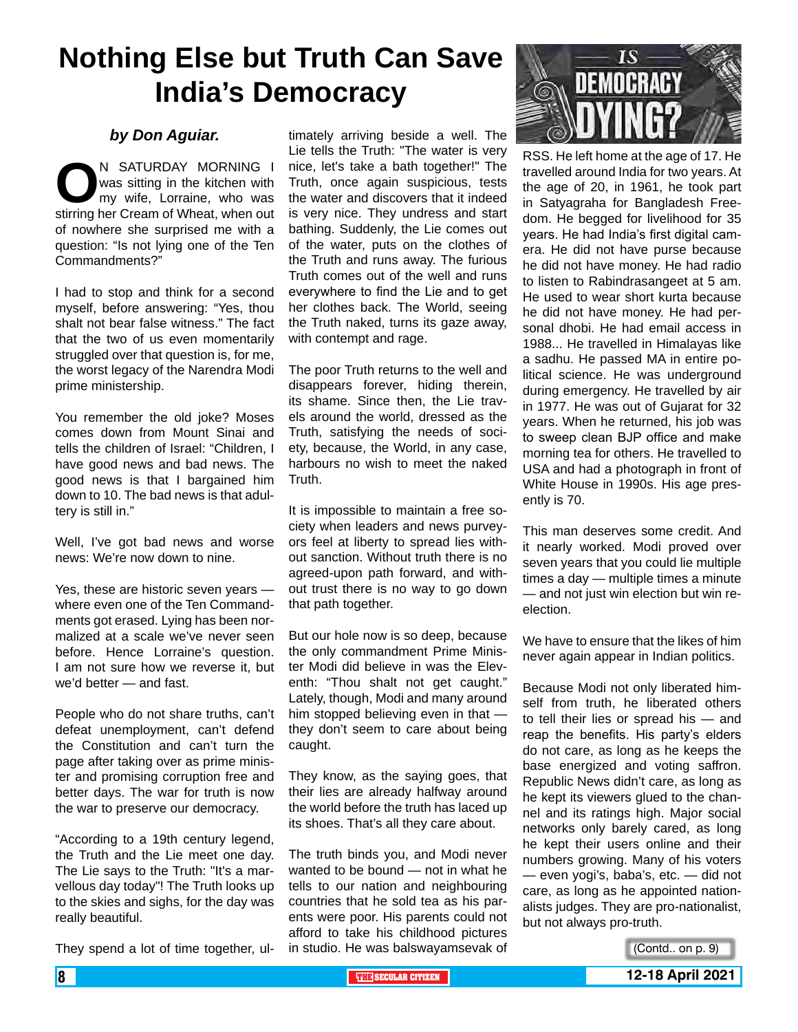### **Nothing Else but Truth Can Save India's Democracy**

#### *by Don Aguiar.*

N SATURDAY MORNING I was sitting in the kitchen with my wife, Lorraine, who was stirring her Cream of Wheat, when out was sitting in the kitchen with my wife, Lorraine, who was of nowhere she surprised me with a question: "Is not lying one of the Ten Commandments?"

I had to stop and think for a second myself, before answering: "Yes, thou shalt not bear false witness." The fact that the two of us even momentarily struggled over that question is, for me, the worst legacy of the Narendra Modi prime ministership.

You remember the old joke? Moses comes down from Mount Sinai and tells the children of Israel: "Children, I have good news and bad news. The good news is that I bargained him down to 10. The bad news is that adultery is still in."

Well, I've got bad news and worse news: We're now down to nine.

Yes, these are historic seven years where even one of the Ten Commandments got erased. Lying has been normalized at a scale we've never seen before. Hence Lorraine's question. I am not sure how we reverse it, but we'd better — and fast.

People who do not share truths, can't defeat unemployment, can't defend the Constitution and can't turn the page after taking over as prime minister and promising corruption free and better days. The war for truth is now the war to preserve our democracy.

"According to a 19th century legend, the Truth and the Lie meet one day. The Lie says to the Truth: "It's a marvellous day today"! The Truth looks up to the skies and sighs, for the day was really beautiful.

They spend a lot of time together, ul-

timately arriving beside a well. The Lie tells the Truth: "The water is very nice, let's take a bath together!" The Truth, once again suspicious, tests the water and discovers that it indeed is very nice. They undress and start bathing. Suddenly, the Lie comes out of the water, puts on the clothes of the Truth and runs away. The furious Truth comes out of the well and runs everywhere to find the Lie and to get her clothes back. The World, seeing the Truth naked, turns its gaze away, with contempt and rage.

The poor Truth returns to the well and disappears forever, hiding therein, its shame. Since then, the Lie travels around the world, dressed as the Truth, satisfying the needs of society, because, the World, in any case, harbours no wish to meet the naked Truth.

It is impossible to maintain a free society when leaders and news purveyors feel at liberty to spread lies without sanction. Without truth there is no agreed-upon path forward, and without trust there is no way to go down that path together.

But our hole now is so deep, because the only commandment Prime Minister Modi did believe in was the Eleventh: "Thou shalt not get caught." Lately, though, Modi and many around him stopped believing even in that they don't seem to care about being caught.

They know, as the saying goes, that their lies are already halfway around the world before the truth has laced up its shoes. That's all they care about.

The truth binds you, and Modi never wanted to be bound — not in what he tells to our nation and neighbouring countries that he sold tea as his parents were poor. His parents could not afford to take his childhood pictures in studio. He was balswayamsevak of



RSS. He left home at the age of 17. He travelled around India for two years. At the age of 20, in 1961, he took part in Satyagraha for Bangladesh Freedom. He begged for livelihood for 35 years. He had India's first digital camera. He did not have purse because he did not have money. He had radio to listen to Rabindrasangeet at 5 am. He used to wear short kurta because he did not have money. He had personal dhobi. He had email access in 1988... He travelled in Himalayas like a sadhu. He passed MA in entire political science. He was underground during emergency. He travelled by air in 1977. He was out of Gujarat for 32 years. When he returned, his job was to sweep clean BJP office and make morning tea for others. He travelled to USA and had a photograph in front of White House in 1990s. His age presently is 70.

This man deserves some credit. And it nearly worked. Modi proved over seven years that you could lie multiple times a day — multiple times a minute — and not just win election but win reelection.

We have to ensure that the likes of him never again appear in Indian politics.

Because Modi not only liberated himself from truth, he liberated others to tell their lies or spread his — and reap the benefits. His party's elders do not care, as long as he keeps the base energized and voting saffron. Republic News didn't care, as long as he kept its viewers glued to the channel and its ratings high. Major social networks only barely cared, as long he kept their users online and their numbers growing. Many of his voters — even yogi's, baba's, etc. — did not care, as long as he appointed nationalists judges. They are pro-nationalist, but not always pro-truth.

(Contd.. on p. 9)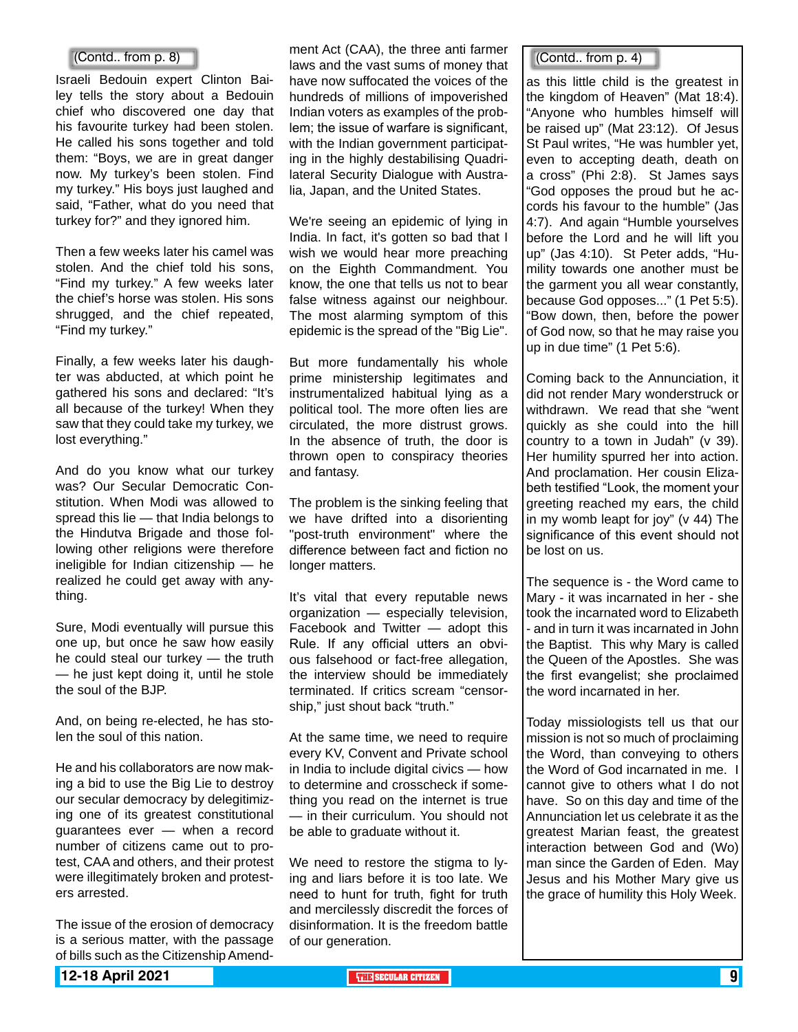#### (Contd.. from p. 8)

Israeli Bedouin expert Clinton Bailey tells the story about a Bedouin chief who discovered one day that his favourite turkey had been stolen. He called his sons together and told them: "Boys, we are in great danger now. My turkey's been stolen. Find my turkey." His boys just laughed and said, "Father, what do you need that turkey for?" and they ignored him.

Then a few weeks later his camel was stolen. And the chief told his sons, "Find my turkey." A few weeks later the chief's horse was stolen. His sons shrugged, and the chief repeated, "Find my turkey."

Finally, a few weeks later his daughter was abducted, at which point he gathered his sons and declared: "It's all because of the turkey! When they saw that they could take my turkey, we lost everything."

And do you know what our turkey was? Our Secular Democratic Constitution. When Modi was allowed to spread this lie — that India belongs to the Hindutva Brigade and those following other religions were therefore ineligible for Indian citizenship — he realized he could get away with anything.

Sure, Modi eventually will pursue this one up, but once he saw how easily he could steal our turkey — the truth — he just kept doing it, until he stole the soul of the BJP.

And, on being re-elected, he has stolen the soul of this nation.

He and his collaborators are now making a bid to use the Big Lie to destroy our secular democracy by delegitimizing one of its greatest constitutional guarantees ever — when a record number of citizens came out to protest, CAA and others, and their protest were illegitimately broken and protesters arrested.

The issue of the erosion of democracy is a serious matter, with the passage of bills such as the Citizenship Amendment Act (CAA), the three anti farmer laws and the vast sums of money that have now suffocated the voices of the hundreds of millions of impoverished Indian voters as examples of the problem; the issue of warfare is significant, with the Indian government participating in the highly destabilising Quadrilateral Security Dialogue with Australia, Japan, and the United States.

We're seeing an epidemic of lying in India. In fact, it's gotten so bad that I wish we would hear more preaching on the Eighth Commandment. You know, the one that tells us not to bear false witness against our neighbour. The most alarming symptom of this epidemic is the spread of the "Big Lie".

But more fundamentally his whole prime ministership legitimates and instrumentalized habitual lying as a political tool. The more often lies are circulated, the more distrust grows. In the absence of truth, the door is thrown open to conspiracy theories and fantasy.

The problem is the sinking feeling that we have drifted into a disorienting "post-truth environment" where the difference between fact and fiction no longer matters.

It's vital that every reputable news organization — especially television, Facebook and Twitter — adopt this Rule. If any official utters an obvious falsehood or fact-free allegation, the interview should be immediately terminated. If critics scream "censorship," just shout back "truth."

At the same time, we need to require every KV, Convent and Private school in India to include digital civics — how to determine and crosscheck if something you read on the internet is true — in their curriculum. You should not be able to graduate without it.

We need to restore the stigma to lying and liars before it is too late. We need to hunt for truth, fight for truth and mercilessly discredit the forces of disinformation. It is the freedom battle of our generation.

(Contd.. from p. 4)

as this little child is the greatest in the kingdom of Heaven" (Mat 18:4). "Anyone who humbles himself will be raised up" (Mat 23:12). Of Jesus St Paul writes, "He was humbler yet, even to accepting death, death on a cross" (Phi 2:8). St James says "God opposes the proud but he accords his favour to the humble" (Jas 4:7). And again "Humble yourselves before the Lord and he will lift you up" (Jas 4:10). St Peter adds, "Humility towards one another must be the garment you all wear constantly, because God opposes..." (1 Pet 5:5). "Bow down, then, before the power of God now, so that he may raise you up in due time" (1 Pet 5:6).

Coming back to the Annunciation, it did not render Mary wonderstruck or withdrawn. We read that she "went quickly as she could into the hill country to a town in Judah" (v 39). Her humility spurred her into action. And proclamation. Her cousin Elizabeth testified "Look, the moment your greeting reached my ears, the child in my womb leapt for joy" (v 44) The significance of this event should not be lost on us.

The sequence is - the Word came to Mary - it was incarnated in her - she took the incarnated word to Elizabeth - and in turn it was incarnated in John the Baptist. This why Mary is called the Queen of the Apostles. She was the first evangelist; she proclaimed the word incarnated in her.

Today missiologists tell us that our mission is not so much of proclaiming the Word, than conveying to others the Word of God incarnated in me. I cannot give to others what I do not have. So on this day and time of the Annunciation let us celebrate it as the greatest Marian feast, the greatest interaction between God and (Wo) man since the Garden of Eden. May Jesus and his Mother Mary give us the grace of humility this Holy Week.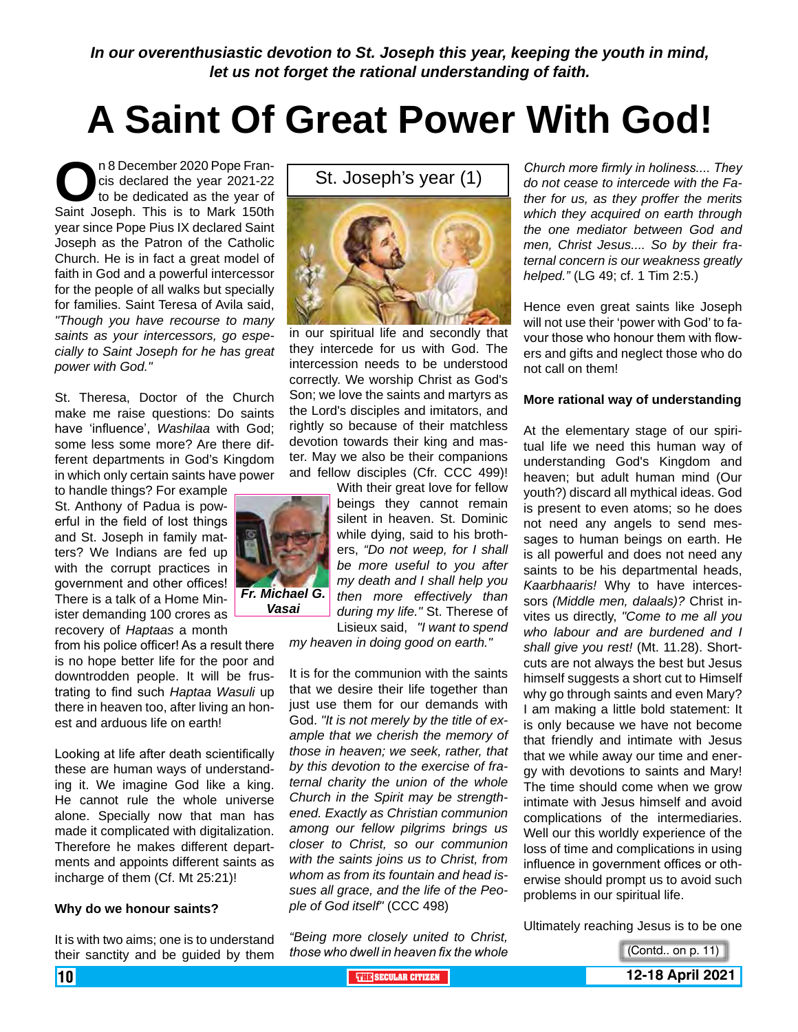*In our overenthusiastic devotion to St. Joseph this year, keeping the youth in mind, let us not forget the rational understanding of faith.*

## **A Saint Of Great Power With God!**

In 8 December 2020 Pope Francis declared the year 2021-22<br>to be dedicated as the year of<br>Saint Joseph. This is to Mark 150th cis declared the year 2021-22 to be dedicated as the year of Saint Joseph. This is to Mark 150th year since Pope Pius IX declared Saint Joseph as the Patron of the Catholic Church. He is in fact a great model of faith in God and a powerful intercessor for the people of all walks but specially for families. Saint Teresa of Avila said, *"Though you have recourse to many saints as your intercessors, go especially to Saint Joseph for he has great power with God."*

St. Theresa, Doctor of the Church make me raise questions: Do saints have 'influence', *Washilaa* with God; some less some more? Are there different departments in God's Kingdom in which only certain saints have power

to handle things? For example St. Anthony of Padua is powerful in the field of lost things and St. Joseph in family matters? We Indians are fed up with the corrupt practices in government and other offices! There is a talk of a Home Minister demanding 100 crores as recovery of *Haptaas* a month

from his police officer! As a result there is no hope better life for the poor and downtrodden people. It will be frustrating to find such *Haptaa Wasuli* up there in heaven too, after living an honest and arduous life on earth!

Looking at life after death scientifically these are human ways of understanding it. We imagine God like a king. He cannot rule the whole universe alone. Specially now that man has made it complicated with digitalization. Therefore he makes different departments and appoints different saints as incharge of them (Cf. Mt 25:21)!

#### **Why do we honour saints?**

It is with two aims; one is to understand their sanctity and be guided by them St. Joseph's year (1)



in our spiritual life and secondly that they intercede for us with God. The intercession needs to be understood correctly. We worship Christ as God's Son; we love the saints and martyrs as the Lord's disciples and imitators, and rightly so because of their matchless devotion towards their king and master. May we also be their companions and fellow disciples (Cfr. CCC 499)!

> With their great love for fellow beings they cannot remain silent in heaven. St. Dominic while dying, said to his brothers, *"Do not weep, for I shall be more useful to you after my death and I shall help you then more effectively than during my life."* St. Therese of Lisieux said, *"I want to spend*

*my heaven in doing good on earth."*

*Fr. Michael G. Vasai*

> It is for the communion with the saints that we desire their life together than just use them for our demands with God. *"It is not merely by the title of example that we cherish the memory of those in heaven; we seek, rather, that by this devotion to the exercise of fraternal charity the union of the whole Church in the Spirit may be strengthened. Exactly as Christian communion among our fellow pilgrims brings us closer to Christ, so our communion with the saints joins us to Christ, from whom as from its fountain and head issues all grace, and the life of the People of God itself"* (CCC 498)

*"Being more closely united to Christ, those who dwell in heaven fix the whole*  *Church more firmly in holiness.... They do not cease to intercede with the Father for us, as they proffer the merits which they acquired on earth through the one mediator between God and men, Christ Jesus.... So by their fraternal concern is our weakness greatly helped."* (LG 49; cf. 1 Tim 2:5.)

Hence even great saints like Joseph will not use their 'power with God' to favour those who honour them with flowers and gifts and neglect those who do not call on them!

#### **More rational way of understanding**

At the elementary stage of our spiritual life we need this human way of understanding God's Kingdom and heaven; but adult human mind (Our youth?) discard all mythical ideas. God is present to even atoms; so he does not need any angels to send messages to human beings on earth. He is all powerful and does not need any saints to be his departmental heads, *Kaarbhaaris!* Why to have intercessors *(Middle men, dalaals)?* Christ invites us directly, *"Come to me all you who labour and are burdened and I shall give you rest!* (Mt. 11.28). Shortcuts are not always the best but Jesus himself suggests a short cut to Himself why go through saints and even Mary? I am making a little bold statement: It is only because we have not become that friendly and intimate with Jesus that we while away our time and energy with devotions to saints and Mary! The time should come when we grow intimate with Jesus himself and avoid complications of the intermediaries. Well our this worldly experience of the loss of time and complications in using influence in government offices or otherwise should prompt us to avoid such problems in our spiritual life.

Ultimately reaching Jesus is to be one

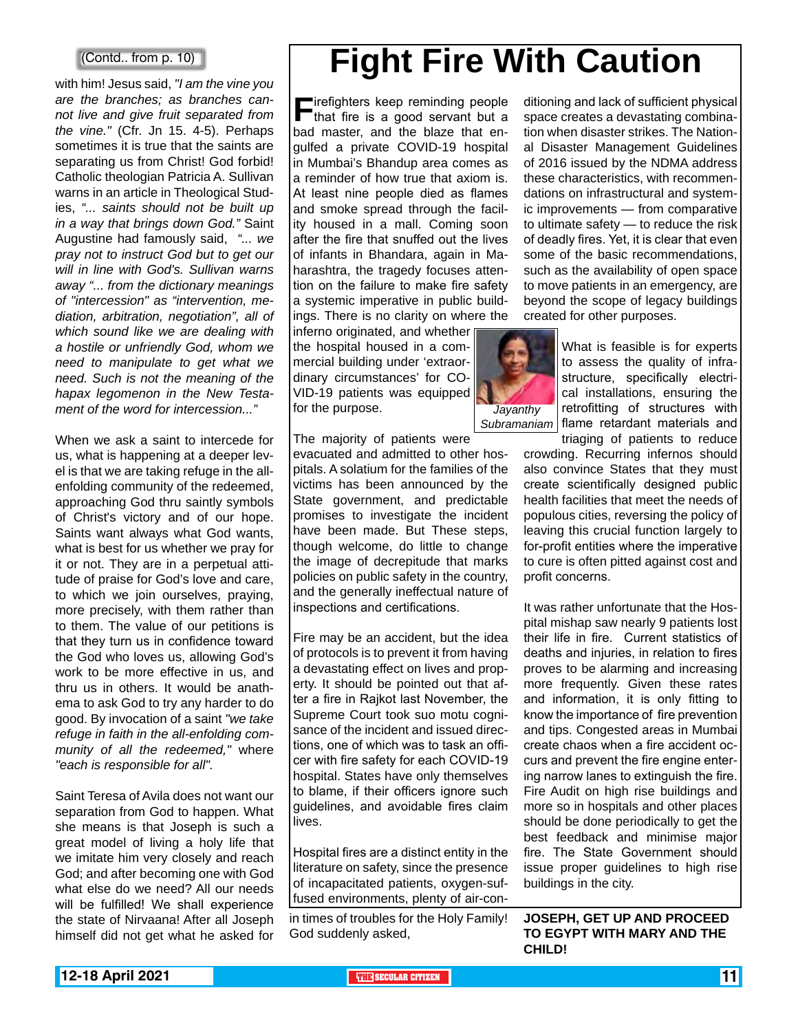#### (Contd.. from p. 10)

with him! Jesus said, *"I am the vine you are the branches; as branches cannot live and give fruit separated from the vine."* (Cfr. Jn 15. 4-5). Perhaps sometimes it is true that the saints are separating us from Christ! God forbid! Catholic theologian Patricia A. Sullivan warns in an article in Theological Studies, *"... saints should not be built up in a way that brings down God."* Saint Augustine had famously said, *"... we pray not to instruct God but to get our will in line with God's. Sullivan warns away "... from the dictionary meanings of "intercession" as "intervention, mediation, arbitration, negotiation", all of which sound like we are dealing with a hostile or unfriendly God, whom we need to manipulate to get what we need. Such is not the meaning of the hapax legomenon in the New Testament of the word for intercession..."*

When we ask a saint to intercede for us, what is happening at a deeper level is that we are taking refuge in the allenfolding community of the redeemed, approaching God thru saintly symbols of Christ's victory and of our hope. Saints want always what God wants, what is best for us whether we pray for it or not. They are in a perpetual attitude of praise for God's love and care, to which we join ourselves, praying, more precisely, with them rather than to them. The value of our petitions is that they turn us in confidence toward the God who loves us, allowing God's work to be more effective in us, and thru us in others. It would be anathema to ask God to try any harder to do good. By invocation of a saint *"we take refuge in faith in the all-enfolding community of all the redeemed,"* where *"each is responsible for all".*

Saint Teresa of Avila does not want our separation from God to happen. What she means is that Joseph is such a great model of living a holy life that we imitate him very closely and reach God; and after becoming one with God what else do we need? All our needs will be fulfilled! We shall experience the state of Nirvaana! After all Joseph himself did not get what he asked for

## **Fight Fire With Caution**

**Firefighters keep reminding people**<br>that fire is a good servant but a bad master, and the blaze that engulfed a private COVID-19 hospital in Mumbai's Bhandup area comes as a reminder of how true that axiom is. At least nine people died as flames and smoke spread through the facility housed in a mall. Coming soon after the fire that snuffed out the lives of infants in Bhandara, again in Maharashtra, the tragedy focuses attention on the failure to make fire safety a systemic imperative in public buildings. There is no clarity on where the

inferno originated, and whether the hospital housed in a commercial building under 'extraordinary circumstances' for CO-VID-19 patients was equipped for the purpose.

The majority of patients were

evacuated and admitted to other hospitals. A solatium for the families of the victims has been announced by the State government, and predictable promises to investigate the incident have been made. But These steps, though welcome, do little to change the image of decrepitude that marks policies on public safety in the country, and the generally ineffectual nature of inspections and certifications.

Fire may be an accident, but the idea of protocols is to prevent it from having a devastating effect on lives and property. It should be pointed out that after a fire in Rajkot last November, the Supreme Court took suo motu cognisance of the incident and issued directions, one of which was to task an officer with fire safety for each COVID-19 hospital. States have only themselves to blame, if their officers ignore such guidelines, and avoidable fires claim lives.

Hospital fires are a distinct entity in the literature on safety, since the presence of incapacitated patients, oxygen-suffused environments, plenty of air-con-

in times of troubles for the Holy Family! God suddenly asked,

ditioning and lack of sufficient physical space creates a devastating combination when disaster strikes. The National Disaster Management Guidelines of 2016 issued by the NDMA address these characteristics, with recommendations on infrastructural and systemic improvements — from comparative to ultimate safety — to reduce the risk of deadly fires. Yet, it is clear that even some of the basic recommendations, such as the availability of open space to move patients in an emergency, are beyond the scope of legacy buildings created for other purposes.



*Jayanthy* 

What is feasible is for experts to assess the quality of infrastructure, specifically electrical installations, ensuring the retrofitting of structures with Subramaniam flame retardant materials and triaging of patients to reduce

crowding. Recurring infernos should also convince States that they must create scientifically designed public health facilities that meet the needs of populous cities, reversing the policy of leaving this crucial function largely to for-profit entities where the imperative to cure is often pitted against cost and profit concerns.

It was rather unfortunate that the Hospital mishap saw nearly 9 patients lost their life in fire. Current statistics of deaths and injuries, in relation to fires proves to be alarming and increasing more frequently. Given these rates and information, it is only fitting to know the importance of fire prevention and tips. Congested areas in Mumbai create chaos when a fire accident occurs and prevent the fire engine entering narrow lanes to extinguish the fire. Fire Audit on high rise buildings and more so in hospitals and other places should be done periodically to get the best feedback and minimise major fire. The State Government should issue proper guidelines to high rise buildings in the city.

**JOSEPH, GET UP AND PROCEED TO EGYPT WITH MARY AND THE CHILD!**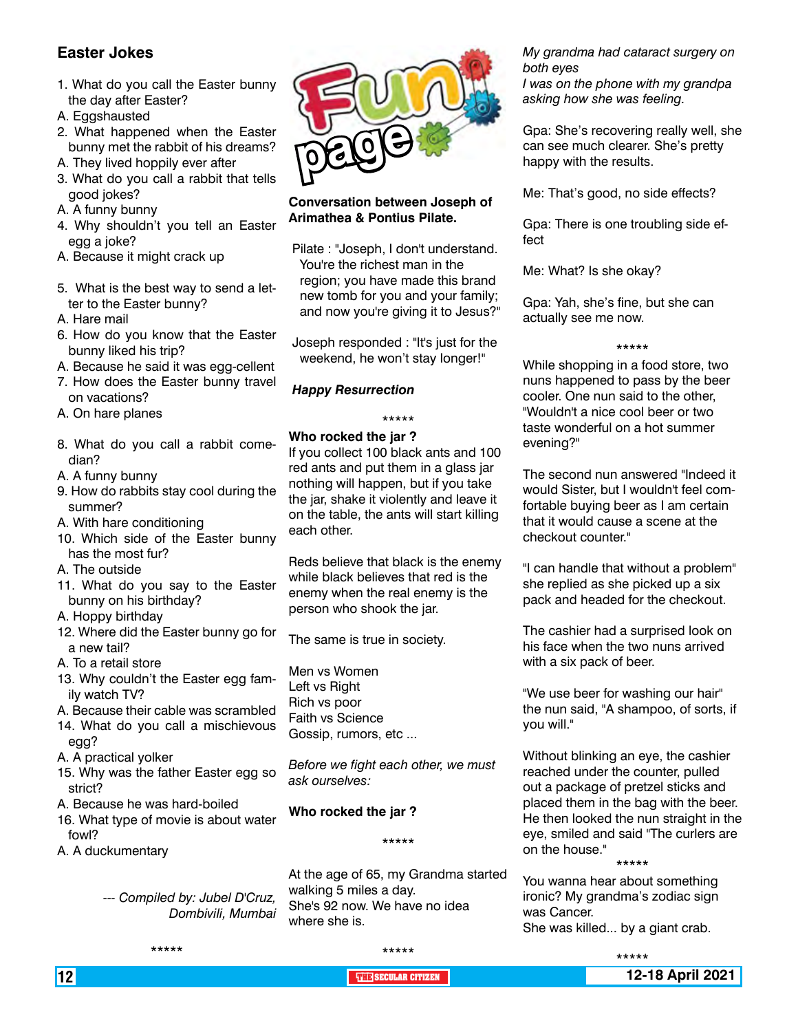#### **Easter Jokes**

- 1. What do you call the Easter bunny the day after Easter?
- A. Eggshausted
- 2. What happened when the Easter bunny met the rabbit of his dreams?
- A. They lived hoppily ever after
- 3. What do you call a rabbit that tells good jokes?
- A. A funny bunny
- 4. Why shouldn't you tell an Easter egg a joke?
- A. Because it might crack up
- 5. What is the best way to send a letter to the Easter bunny?
- A. Hare mail
- 6. How do you know that the Easter bunny liked his trip?
- A. Because he said it was egg-cellent
- 7. How does the Easter bunny travel on vacations?
- A. On hare planes
- 8. What do you call a rabbit comedian?
- A. A funny bunny
- 9. How do rabbits stay cool during the summer?
- A. With hare conditioning
- 10. Which side of the Easter bunny has the most fur?
- A. The outside
- 11. What do you say to the Easter bunny on his birthday?
- A. Hoppy birthday
- 12. Where did the Easter bunny go for a new tail?
- A. To a retail store
- 13. Why couldn't the Easter egg family watch TV?
- A. Because their cable was scrambled
- 14. What do you call a mischievous egg?
- A. A practical yolker
- 15. Why was the father Easter egg so strict?
- A. Because he was hard-boiled
- 16. What type of movie is about water fowl?
- A. A duckumentary

*--- Compiled by: Jubel D'Cruz, Dombivili, Mumbai*



#### **Conversation between Joseph of Arimathea & Pontius Pilate.**

 Pilate : "Joseph, I don't understand. You're the richest man in the region; you have made this brand new tomb for you and your family; and now you're giving it to Jesus?"

 Joseph responded : "It's just for the weekend, he won't stay longer!"

#### *Happy Resurrection*

\*\*\*\*\*

#### **Who rocked the jar ?**

If you collect 100 black ants and 100 red ants and put them in a glass jar nothing will happen, but if you take the jar, shake it violently and leave it on the table, the ants will start killing each other.

Reds believe that black is the enemy while black believes that red is the enemy when the real enemy is the person who shook the jar.

The same is true in society.

Men vs Women Left vs Right Rich vs poor Faith vs Science Gossip, rumors, etc ...

*Before we fight each other, we must ask ourselves:*

#### **Who rocked the jar ?**

\*\*\*\*\*

At the age of 65, my Grandma started walking 5 miles a day. She's 92 now. We have no idea where she is.

\*\*\*\*\*

#### *My grandma had cataract surgery on both eyes I was on the phone with my grandpa asking how she was feeling.*

Gpa: She's recovering really well, she can see much clearer. She's pretty happy with the results.

Me: That's good, no side effects?

Gpa: There is one troubling side effect

Me: What? Is she okay?

Gpa: Yah, she's fine, but she can actually see me now.

\*\*\*\*\*

While shopping in a food store, two nuns happened to pass by the beer cooler. One nun said to the other, "Wouldn't a nice cool beer or two taste wonderful on a hot summer evening?"

The second nun answered "Indeed it would Sister, but I wouldn't feel comfortable buying beer as I am certain that it would cause a scene at the checkout counter."

"I can handle that without a problem" she replied as she picked up a six pack and headed for the checkout.

The cashier had a surprised look on his face when the two nuns arrived with a six pack of beer.

"We use beer for washing our hair" the nun said, "A shampoo, of sorts, if you will."

Without blinking an eye, the cashier reached under the counter, pulled out a package of pretzel sticks and placed them in the bag with the beer. He then looked the nun straight in the eye, smiled and said "The curlers are on the house."

\*\*\*\*\*

\*\*\*\*\*

You wanna hear about something ironic? My grandma's zodiac sign was Cancer. She was killed... by a giant crab.

\*\*\*\*\*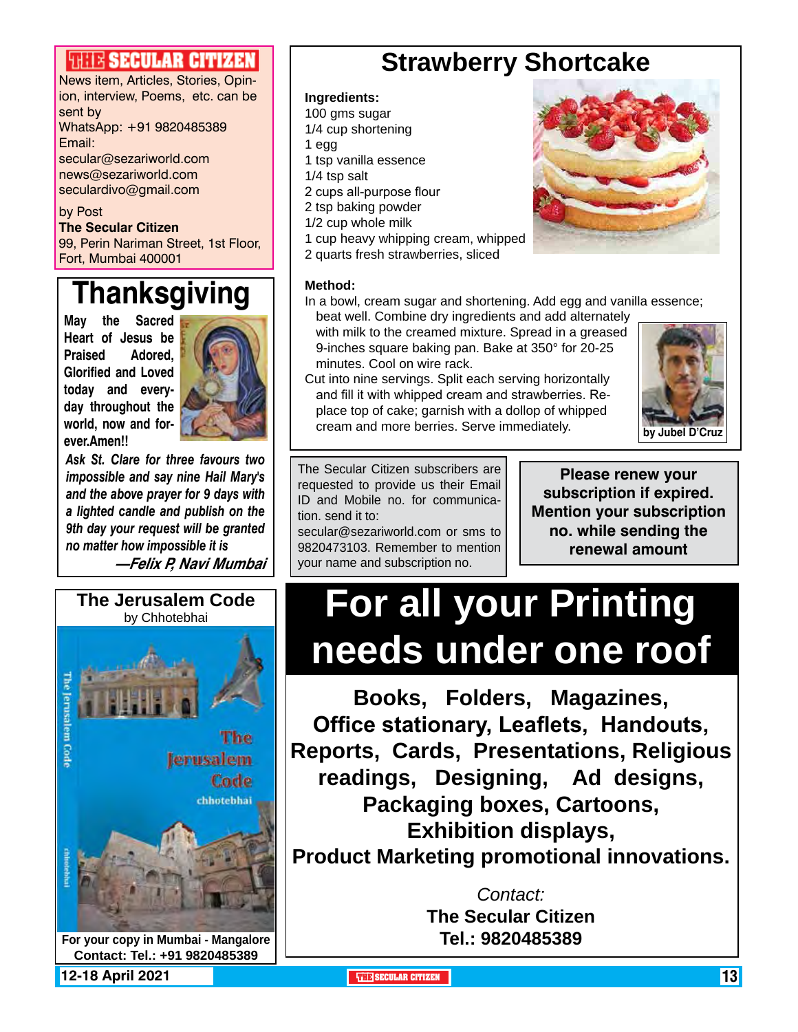### **SECULAR CITIZEN**

News item, Articles, Stories, Opinion, interview, Poems, etc. can be sent by WhatsApp: +91 9820485389 Email: secular@sezariworld.com news@sezariworld.com seculardivo@gmail.com

by Post **The Secular Citizen** 99, Perin Nariman Street, 1st Floor, Fort, Mumbai 400001

## **Thanksgiving**

**May the Sacred Heart of Jesus be Praised Adored, Glorified and Loved today and everyday throughout the world, now and forever.Amen!!**



*Ask St. Clare for three favours two impossible and say nine Hail Mary's and the above prayer for 9 days with a lighted candle and publish on the 9th day your request will be granted no matter how impossible it is*

**—Felix P, Navi Mumbai**



**12-18 April 2021 THE THE THE THE SECULAR CITIZEN THE THE THE THE THE THE THE THE** 

### **Strawberry Shortcake**

#### **Ingredients:**

- 100 gms sugar 1/4 cup shortening 1 egg 1 tsp vanilla essence 1/4 tsp salt 2 cups all-purpose flour
- 2 tsp baking powder
- 1/2 cup whole milk
- 1 cup heavy whipping cream, whipped
- 2 quarts fresh strawberries, sliced

#### **Method:**

In a bowl, cream sugar and shortening. Add egg and vanilla essence;

beat well. Combine dry ingredients and add alternately with milk to the creamed mixture. Spread in a greased 9-inches square baking pan. Bake at 350° for 20-25 minutes. Cool on wire rack.

Cut into nine servings. Split each serving horizontally and fill it with whipped cream and strawberries. Replace top of cake; garnish with a dollop of whipped cream and more berries. Serve immediately.



The Secular Citizen subscribers are requested to provide us their Email ID and Mobile no. for communication. send it to:

secular@sezariworld.com or sms to 9820473103. Remember to mention your name and subscription no.

**Please renew your subscription if expired. Mention your subscription no. while sending the renewal amount**

## **For all your Printing needs under one roof**

**Books, Folders, Magazines, Office stationary, Leaflets, Handouts, Reports, Cards, Presentations, Religious readings, Designing, Ad designs, Packaging boxes, Cartoons, Exhibition displays, Product Marketing promotional innovations.**

> *Contact:* **The Secular Citizen**

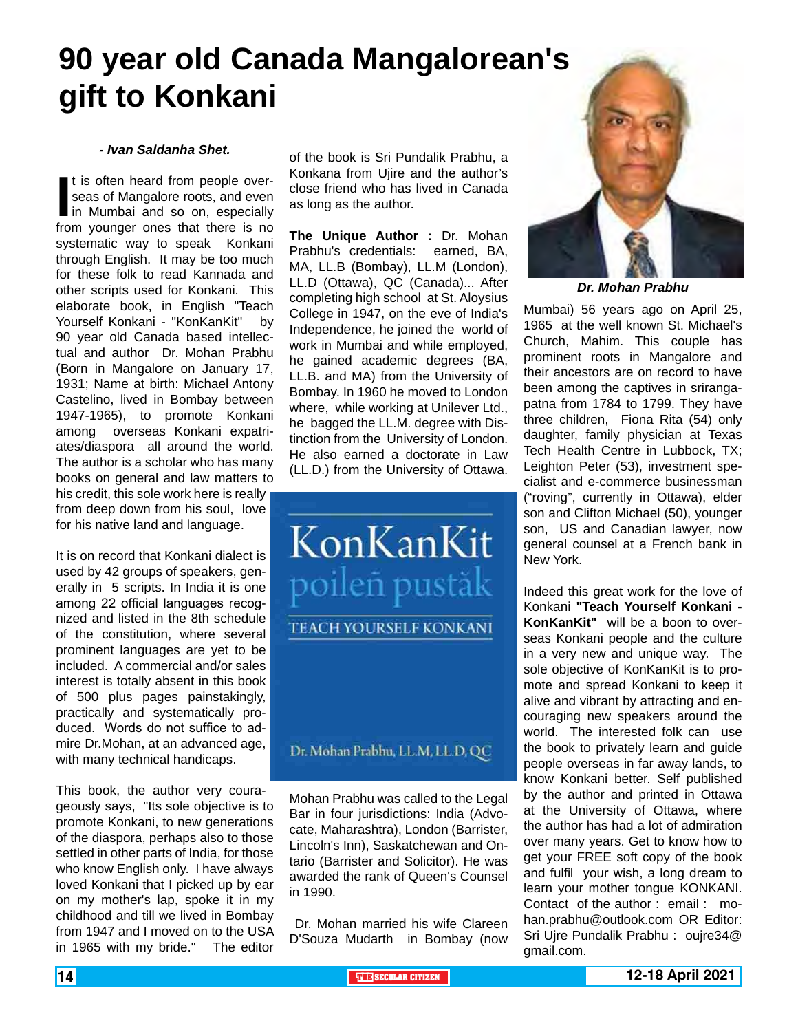### **90 year old Canada Mangalorean's gift to Konkani**

#### *- Ivan Saldanha Shet.*

It is often heard from people over-<br>seas of Mangalore roots, and even<br>in Mumbai and so on, especially<br>from younger ones that there is no t is often heard from people overseas of Mangalore roots, and even in Mumbai and so on, especially systematic way to speak Konkani through English. It may be too much for these folk to read Kannada and other scripts used for Konkani. This elaborate book, in English "Teach Yourself Konkani - "KonKanKit" by 90 year old Canada based intellectual and author Dr. Mohan Prabhu (Born in Mangalore on January 17, 1931; Name at birth: Michael Antony Castelino, lived in Bombay between 1947-1965), to promote Konkani among overseas Konkani expatriates/diaspora all around the world. The author is a scholar who has many books on general and law matters to his credit, this sole work here is really from deep down from his soul, love for his native land and language.

It is on record that Konkani dialect is used by 42 groups of speakers, generally in 5 scripts. In India it is one among 22 official languages recognized and listed in the 8th schedule of the constitution, where several prominent languages are yet to be included. A commercial and/or sales interest is totally absent in this book of 500 plus pages painstakingly, practically and systematically produced. Words do not suffice to admire Dr.Mohan, at an advanced age, with many technical handicaps.

This book, the author very courageously says, "Its sole objective is to promote Konkani, to new generations of the diaspora, perhaps also to those settled in other parts of India, for those who know English only. I have always loved Konkani that I picked up by ear on my mother's lap, spoke it in my childhood and till we lived in Bombay from 1947 and I moved on to the USA in 1965 with my bride." The editor

of the book is Sri Pundalik Prabhu, a Konkana from Ujire and the author's close friend who has lived in Canada as long as the author.

**The Unique Author :** Dr. Mohan Prabhu's credentials: earned, BA, MA, LL.B (Bombay), LL.M (London), LL.D (Ottawa), QC (Canada)... After completing high school at St. Aloysius College in 1947, on the eve of India's Independence, he joined the world of work in Mumbai and while employed, he gained academic degrees (BA, LL.B. and MA) from the University of Bombay. In 1960 he moved to London where, while working at Unilever Ltd., he bagged the LL.M. degree with Distinction from the University of London. He also earned a doctorate in Law (LL.D.) from the University of Ottawa.



Mohan Prabhu was called to the Legal Bar in four jurisdictions: India (Advocate, Maharashtra), London (Barrister, Lincoln's Inn), Saskatchewan and Ontario (Barrister and Solicitor). He was awarded the rank of Queen's Counsel in 1990.

 Dr. Mohan married his wife Clareen D'Souza Mudarth in Bombay (now

![](_page_13_Picture_10.jpeg)

*Dr. Mohan Prabhu*

Mumbai) 56 years ago on April 25, 1965 at the well known St. Michael's Church, Mahim. This couple has prominent roots in Mangalore and their ancestors are on record to have been among the captives in srirangapatna from 1784 to 1799. They have three children, Fiona Rita (54) only daughter, family physician at Texas Tech Health Centre in Lubbock, TX; Leighton Peter (53), investment specialist and e-commerce businessman ("roving", currently in Ottawa), elder son and Clifton Michael (50), younger son, US and Canadian lawyer, now general counsel at a French bank in New York.

Indeed this great work for the love of Konkani **"Teach Yourself Konkani - KonKanKit"** will be a boon to overseas Konkani people and the culture in a very new and unique way. The sole objective of KonKanKit is to promote and spread Konkani to keep it alive and vibrant by attracting and encouraging new speakers around the world. The interested folk can use the book to privately learn and guide people overseas in far away lands, to know Konkani better. Self published by the author and printed in Ottawa at the University of Ottawa, where the author has had a lot of admiration over many years. Get to know how to get your FREE soft copy of the book and fulfil your wish, a long dream to learn your mother tongue KONKANI. Contact of the author : email : mohan.prabhu@outlook.com OR Editor: Sri Ujre Pundalik Prabhu : oujre34@ gmail.com.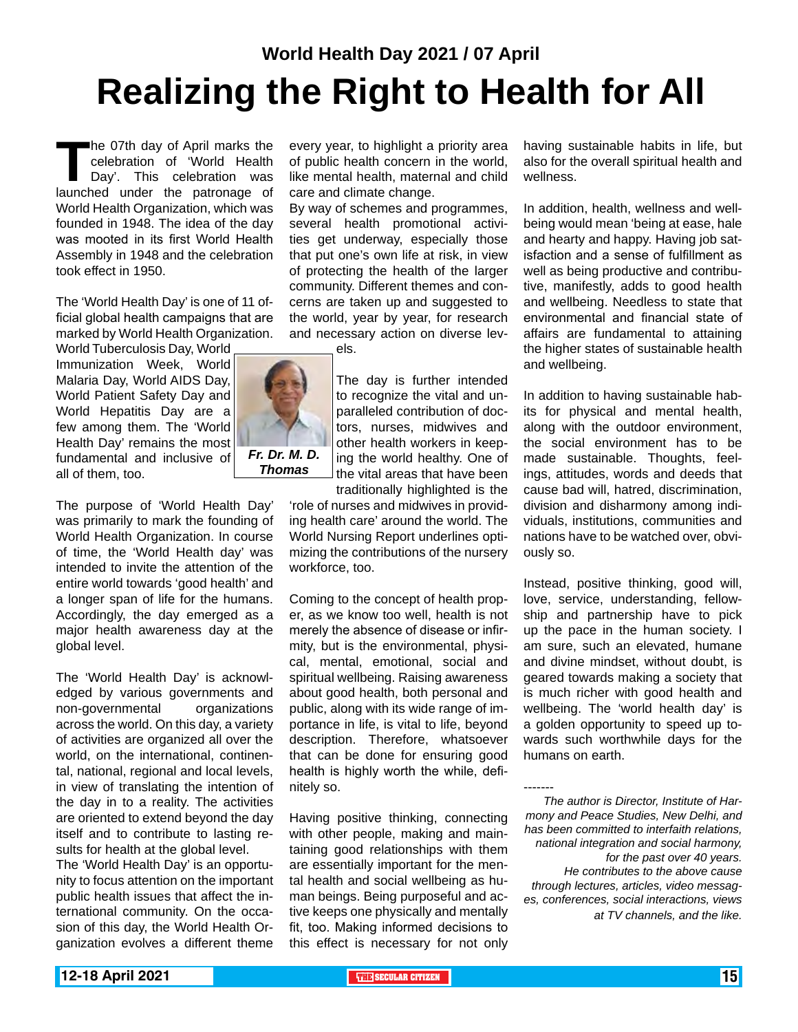### **World Health Day 2021 / 07 April Realizing the Right to Health for All**

The 07th day of April marks the celebration of 'World Health Day'. This celebration was launched under the patronage of celebration of 'World Health Day'. This celebration was World Health Organization, which was founded in 1948. The idea of the day was mooted in its first World Health Assembly in 1948 and the celebration took effect in 1950.

The 'World Health Day' is one of 11 official global health campaigns that are marked by World Health Organization.

World Tuberculosis Day, World Immunization Week, World Malaria Day, World AIDS Day, World Patient Safety Day and World Hepatitis Day are a few among them. The 'World Health Day' remains the most fundamental and inclusive of all of them, too.

The purpose of 'World Health Day' was primarily to mark the founding of World Health Organization. In course of time, the 'World Health day' was intended to invite the attention of the entire world towards 'good health' and a longer span of life for the humans. Accordingly, the day emerged as a major health awareness day at the global level.

The 'World Health Day' is acknowledged by various governments and non-governmental organizations across the world. On this day, a variety of activities are organized all over the world, on the international, continental, national, regional and local levels, in view of translating the intention of the day in to a reality. The activities are oriented to extend beyond the day itself and to contribute to lasting results for health at the global level.

The 'World Health Day' is an opportunity to focus attention on the important public health issues that affect the international community. On the occasion of this day, the World Health Organization evolves a different theme

every year, to highlight a priority area of public health concern in the world, like mental health, maternal and child care and climate change.

By way of schemes and programmes, several health promotional activities get underway, especially those that put one's own life at risk, in view of protecting the health of the larger community. Different themes and concerns are taken up and suggested to the world, year by year, for research and necessary action on diverse lev-

> The day is further intended to recognize the vital and unparalleled contribution of doctors, nurses, midwives and other health workers in keeping the world healthy. One of the vital areas that have been

els.

![](_page_14_Picture_10.jpeg)

*Thomas*

traditionally highlighted is the 'role of nurses and midwives in providing health care' around the world. The World Nursing Report underlines optimizing the contributions of the nursery workforce, too.

Coming to the concept of health proper, as we know too well, health is not merely the absence of disease or infirmity, but is the environmental, physical, mental, emotional, social and spiritual wellbeing. Raising awareness about good health, both personal and public, along with its wide range of importance in life, is vital to life, beyond description. Therefore, whatsoever that can be done for ensuring good health is highly worth the while, definitely so.

Having positive thinking, connecting with other people, making and maintaining good relationships with them are essentially important for the mental health and social wellbeing as human beings. Being purposeful and active keeps one physically and mentally fit, too. Making informed decisions to this effect is necessary for not only having sustainable habits in life, but also for the overall spiritual health and wellness.

In addition, health, wellness and wellbeing would mean 'being at ease, hale and hearty and happy. Having job satisfaction and a sense of fulfillment as well as being productive and contributive, manifestly, adds to good health and wellbeing. Needless to state that environmental and financial state of affairs are fundamental to attaining the higher states of sustainable health and wellbeing.

In addition to having sustainable habits for physical and mental health, along with the outdoor environment, the social environment has to be made sustainable. Thoughts, feelings, attitudes, words and deeds that cause bad will, hatred, discrimination, division and disharmony among individuals, institutions, communities and nations have to be watched over, obviously so.

Instead, positive thinking, good will, love, service, understanding, fellowship and partnership have to pick up the pace in the human society. I am sure, such an elevated, humane and divine mindset, without doubt, is geared towards making a society that is much richer with good health and wellbeing. The 'world health day' is a golden opportunity to speed up towards such worthwhile days for the humans on earth.

<sup>-------</sup> *The author is Director, Institute of Harmony and Peace Studies, New Delhi, and has been committed to interfaith relations, national integration and social harmony, for the past over 40 years. He contributes to the above cause through lectures, articles, video messages, conferences, social interactions, views at TV channels, and the like.*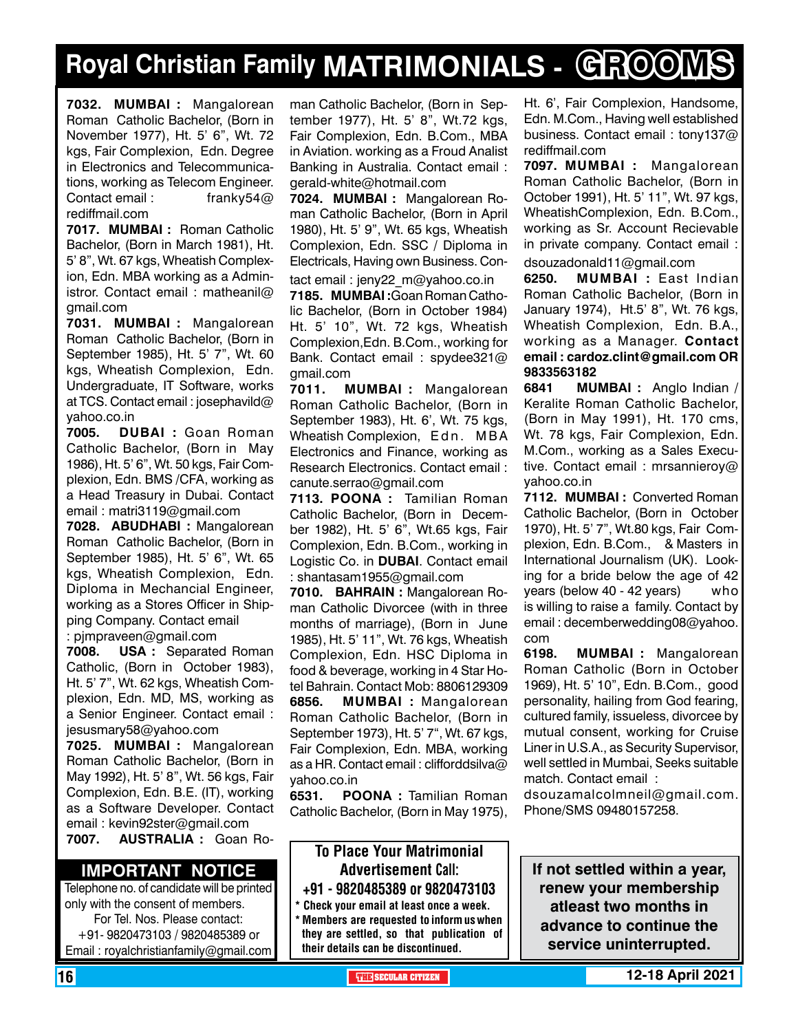## **Royal Christian Family MATRIMONIALS - GROOMS**

**7032. MUMBAI :** Mangalorean Roman Catholic Bachelor, (Born in November 1977), Ht. 5' 6", Wt. 72 kgs, Fair Complexion, Edn. Degree in Electronics and Telecommunications, working as Telecom Engineer. Contact email : franky54@ rediffmail.com

**7017. MUMBAI :** Roman Catholic Bachelor, (Born in March 1981), Ht. 5' 8", Wt. 67 kgs, Wheatish Complexion, Edn. MBA working as a Administror. Contact email : matheanil@ gmail.com

**7031. MUMBAI :** Mangalorean Roman Catholic Bachelor, (Born in September 1985), Ht. 5' 7", Wt. 60 kgs, Wheatish Complexion, Edn. Undergraduate, IT Software, works at TCS. Contact email : josephavild@ yahoo.co.in

**7005. DUBAI :** Goan Roman Catholic Bachelor, (Born in May 1986), Ht. 5' 6", Wt. 50 kgs, Fair Complexion, Edn. BMS /CFA, working as a Head Treasury in Dubai. Contact email : matri3119@gmail.com

**7028. ABUDHABI :** Mangalorean Roman Catholic Bachelor, (Born in September 1985), Ht. 5' 6", Wt. 65 kgs, Wheatish Complexion, Edn. Diploma in Mechancial Engineer, working as a Stores Officer in Shipping Company. Contact email : pjmpraveen@gmail.com

**7008. USA :** Separated Roman Catholic, (Born in October 1983), Ht. 5' 7", Wt. 62 kgs, Wheatish Complexion, Edn. MD, MS, working as a Senior Engineer. Contact email : jesusmary58@yahoo.com

**7025. MUMBAI :** Mangalorean Roman Catholic Bachelor, (Born in May 1992), Ht. 5' 8", Wt. 56 kgs, Fair Complexion, Edn. B.E. (IT), working as a Software Developer. Contact email : kevin92ster@gmail.com

**7007. AUSTRALIA :** Goan Ro-

#### **Important Notice**

Telephone no. of candidate will be printed only with the consent of members. For Tel. Nos. Please contact: +91- 9820473103 / 9820485389 or Email : royalchristianfamily@gmail.com

man Catholic Bachelor, (Born in September 1977), Ht. 5' 8", Wt.72 kgs, Fair Complexion, Edn. B.Com., MBA in Aviation. working as a Froud Analist Banking in Australia. Contact email : gerald-white@hotmail.com

**7024. MUMBAI :** Mangalorean Roman Catholic Bachelor, (Born in April 1980), Ht. 5' 9", Wt. 65 kgs, Wheatish Complexion, Edn. SSC / Diploma in Electricals, Having own Business. Contact email : jeny22 m@yahoo.co.in

**7185. MUMBAI :**Goan Roman Catholic Bachelor, (Born in October 1984) Ht. 5' 10", Wt. 72 kgs, Wheatish Complexion,Edn. B.Com., working for Bank. Contact email : spydee321@ gmail.com

**7011. MUMBAI :** Mangalorean Roman Catholic Bachelor, (Born in September 1983), Ht. 6', Wt. 75 kgs, Wheatish Complexion, Edn. MBA Electronics and Finance, working as Research Electronics. Contact email : canute.serrao@gmail.com

**7113. POONA :** Tamilian Roman Catholic Bachelor, (Born in December 1982), Ht. 5' 6", Wt.65 kgs, Fair Complexion, Edn. B.Com., working in Logistic Co. in **DUBAI**. Contact email : shantasam1955@gmail.com

**7010. BAHRAIN :** Mangalorean Roman Catholic Divorcee (with in three months of marriage), (Born in June 1985), Ht. 5' 11", Wt. 76 kgs, Wheatish Complexion, Edn. HSC Diploma in food & beverage, working in 4 Star Hotel Bahrain. Contact Mob: 8806129309 **6856. MuMBAI :** Mangalorean Roman Catholic Bachelor, (Born in September 1973), Ht. 5' 7", Wt. 67 kgs, Fair Complexion, Edn. MBA, working as a HR. Contact email : clifforddsilva@ yahoo.co.in

**6531. POON A :** Tamilian Roman Catholic Bachelor, (Born in May 1975),

#### To Place Your Matrimonial Advertisement Call: +91 - 9820485389 or 9820473103

\* Check your email at least once a week. \* Members are requested to inform us when they are settled, so that publication of their details can be discontinued.

Ht. 6', Fair Complexion, Handsome, Edn. M.Com., Having well established business. Contact email : tony137@ rediffmail.com

**7097. MUMBAI :** Mangalorean Roman Catholic Bachelor, (Born in October 1991), Ht. 5' 11", Wt. 97 kgs, WheatishComplexion, Edn. B.Com., working as Sr. Account Recievable in private company. Contact email : dsouzadonald11@gmail.com

**6250. MUMBAI :** East Indian Roman Catholic Bachelor, (Born in January 1974), Ht.5' 8", Wt. 76 kgs, Wheatish Complexion, Edn. B.A., working as a Manager. Contact email : cardoz.clint@gmail.com OR 9833563182

**6841 MuMBAI :** Anglo Indian / Keralite Roman Catholic Bachelor, (Born in May 1991), Ht. 170 cms, Wt. 78 kgs, Fair Complexion, Edn. M.Com., working as a Sales Executive. Contact email : mrsannieroy@ yahoo.co.in

**7112. MUMBAI :** Converted Roman Catholic Bachelor, (Born in October 1970), Ht. 5' 7", Wt.80 kgs, Fair Complexion, Edn. B.Com., & Masters in International Journalism (UK). Looking for a bride below the age of 42 years (below 40 - 42 years) who is willing to raise a family. Contact by email : decemberwedding08@yahoo. com

**6198. MUMBAI :** Mangalorean Roman Catholic (Born in October 1969), Ht. 5' 10", Edn. B.Com., good personality, hailing from God fearing, cultured family, issueless, divorcee by mutual consent, working for Cruise Liner in U.S.A., as Security Supervisor, well settled in Mumbai, Seeks suitable match. Contact email : dsouzamalcolmneil@gmail.com. Phone/SMS 09480157258.

**If not settled within a year, renew your membership atleast two months in advance to continue the service uninterrupted.**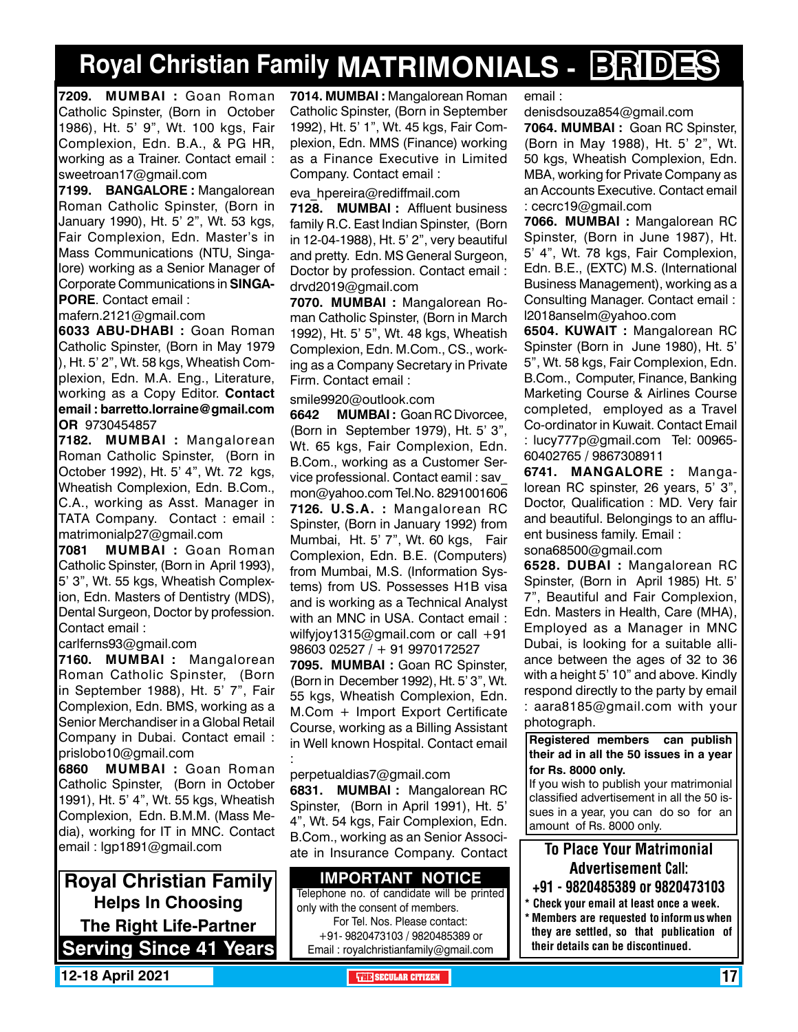### **Royal Christian Family MATRIMONIALS - BRIDES**

**7209. MUMBAI :** Goan Roman Catholic Spinster, (Born in October 1986), Ht. 5' 9", Wt. 100 kgs, Fair Complexion, Edn. B.A., & PG HR, working as a Trainer. Contact email : sweetroan17@gmail.com

**7199. BANGALORE :** Mangalorean Roman Catholic Spinster, (Born in January 1990), Ht. 5' 2", Wt. 53 kgs, Fair Complexion, Edn. Master's in Mass Communications (NTU, Singalore) working as a Senior Manager of Corporate Communications in **SINGA-PORE**. Contact email :

mafern.2121@gmail.com

**6033 ABU-DHABI :** Goan Roman Catholic Spinster, (Born in May 1979 ), Ht. 5' 2", Wt. 58 kgs, Wheatish Complexion, Edn. M.A. Eng., Literature, working as a Copy Editor. Contact email : barretto.lorraine@gmail.com OR 9730454857

**7182. MUMBAI :** Mangalorean Roman Catholic Spinster, (Born in October 1992), Ht. 5' 4", Wt. 72 kgs, Wheatish Complexion, Edn. B.Com., C.A., working as Asst. Manager in TATA Company. Contact : email : matrimonialp27@gmail.com

**7081 MUMBAI :** Goan Roman Catholic Spinster, (Born in April 1993), 5' 3", Wt. 55 kgs, Wheatish Complexion, Edn. Masters of Dentistry (MDS), Dental Surgeon, Doctor by profession. Contact email :

carlferns93@gmail.com

**7160. MUMBAI :** Mangalorean Roman Catholic Spinster, (Born in September 1988), Ht. 5' 7", Fair Complexion, Edn. BMS, working as a Senior Merchandiser in a Global Retail Company in Dubai. Contact email : prislobo10@gmail.com

**6860 MUMBAI :** Goan Roman Catholic Spinster, (Born in October 1991), Ht. 5' 4", Wt. 55 kgs, Wheatish Complexion, Edn. B.M.M. (Mass Media), working for IT in MNC. Contact email : lgp1891@gmail.com

**Royal Christian Family Helps In Choosing The Right Life-Partner Serving Since 41 Years** **7014. MUMBAI :** Mangalorean Roman Catholic Spinster, (Born in September 1992), Ht. 5' 1", Wt. 45 kgs, Fair Complexion, Edn. MMS (Finance) working as a Finance Executive in Limited Company. Contact email :

eva\_hpereira@rediffmail.com

**7128. MUMBAI :** Affluent business family R.C. East Indian Spinster, (Born in 12-04-1988), Ht. 5' 2", very beautiful and pretty. Edn. MS General Surgeon, Doctor by profession. Contact email : drvd2019@gmail.com

**7070. MUMBAI :** Mangalorean Roman Catholic Spinster, (Born in March 1992), Ht. 5' 5", Wt. 48 kgs, Wheatish Complexion, Edn. M.Com., CS., working as a Company Secretary in Private Firm. Contact email :

smile9920@outlook.com

**6642 MUMBAI :** Goan RC Divorcee, (Born in September 1979), Ht. 5' 3", Wt. 65 kgs, Fair Complexion, Edn. B.Com., working as a Customer Service professional. Contact eamil : sav\_ mon@yahoo.com Tel.No. 8291001606 **7126. U.S.A. :** Mangalorean RC Spinster, (Born in January 1992) from Mumbai, Ht. 5' 7", Wt. 60 kgs, Fair Complexion, Edn. B.E. (Computers) from Mumbai, M.S. (Information Systems) from US. Possesses H1B visa and is working as a Technical Analyst with an MNC in USA. Contact email : wilfyjoy1315@gmail.com or call +91 98603 02527 / + 91 9970172527

**7095. MUMBAI :** Goan RC Spinster, (Born in December 1992), Ht. 5' 3", Wt. 55 kgs, Wheatish Complexion, Edn. M.Com + Import Export Certificate Course, working as a Billing Assistant in Well known Hospital. Contact email :

perpetualdias7@gmail.com

**6831. MUMBAI :** Mangalorean RC Spinster, (Born in April 1991), Ht. 5' 4", Wt. 54 kgs, Fair Complexion, Edn. B.Com., working as an Senior Associate in Insurance Company. Contact

**Important Notice**

Telephone no. of candidate will be printed only with the consent of members. For Tel. Nos. Please contact: +91- 9820473103 / 9820485389 or Email : royalchristianfamily@gmail.com

email :

denisdsouza854@gmail.com **7064. MUMBAI :** Goan RC Spinster, (Born in May 1988), Ht. 5' 2", Wt. 50 kgs, Wheatish Complexion, Edn. MBA, working for Private Company as an Accounts Executive. Contact email : cecrc19@gmail.com

**7066. MUMBAI :** Mangalorean RC Spinster, (Born in June 1987), Ht. 5' 4", Wt. 78 kgs, Fair Complexion, Edn. B.E., (EXTC) M.S. (International Business Management), working as a Consulting Manager. Contact email : l2018anselm@yahoo.com

**6504. Kuwait :** Mangalorean RC Spinster (Born in June 1980), Ht. 5' 5", Wt. 58 kgs, Fair Complexion, Edn. B.Com., Computer, Finance, Banking Marketing Course & Airlines Course completed, employed as a Travel Co-ordinator in Kuwait. Contact Email : lucy777p@gmail.com Tel: 00965- 60402765 / 9867308911

**6741. MANGALORE :** Mangalorean RC spinster, 26 years, 5' 3", Doctor, Qualification : MD. Very fair and beautiful. Belongings to an affluent business family. Email : sona68500@gmail.com

**6528. DUBAI :** Mangalorean RC Spinster, (Born in April 1985) Ht. 5' 7", Beautiful and Fair Complexion, Edn. Masters in Health, Care (MHA), Employed as a Manager in MNC Dubai, is looking for a suitable alliance between the ages of 32 to 36 with a height 5' 10" and above. Kindly respond directly to the party by email : aara8185@gmail.com with your photograph.

**Registered members can publish their ad in all the 50 issues in a year for Rs. 8000 only.**

If you wish to publish your matrimonial classified advertisement in all the 50 issues in a year, you can do so for an amount of Rs. 8000 only.

To Place Your Matrimonial Advertisement Call:

- +91 9820485389 or 9820473103
- \* Check your email at least once a week. \* Members are requested to inform us when they are settled, so that publication of their details can be discontinued.

**12-18 April 2021 THE THE THE THE SECULAR CITIZEN THE THE THE THE THE THE THE THE**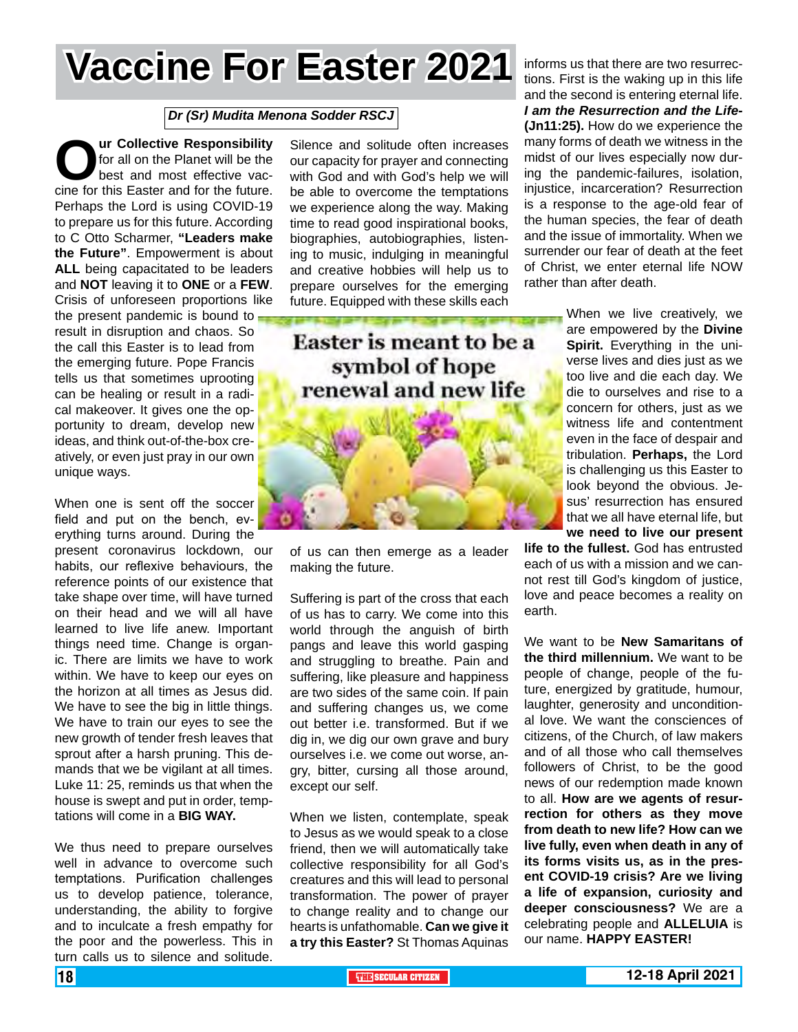## **Vaccine For Easter 2021**

#### *Dr (Sr) Mudita Menona Sodder RSCJ*

**Our Collective Responsibility**<br>for all on the Planet will be the<br>best and most effective vac-<br>cine for this Easter and for the future. for all on the Planet will be the best and most effective vac-Perhaps the Lord is using COVID-19 to prepare us for this future. According to C Otto Scharmer, **"Leaders make the Future"**. Empowerment is about **ALL** being capacitated to be leaders and **NOT** leaving it to **ONE** or a **FEW**. Crisis of unforeseen proportions like the present pandemic is bound to result in disruption and chaos. So the call this Easter is to lead from the emerging future. Pope Francis tells us that sometimes uprooting can be healing or result in a radical makeover. It gives one the opportunity to dream, develop new ideas, and think out-of-the-box creatively, or even just pray in our own unique ways.

When one is sent off the soccer field and put on the bench, everything turns around. During the

present coronavirus lockdown, our habits, our reflexive behaviours, the reference points of our existence that take shape over time, will have turned on their head and we will all have learned to live life anew. Important things need time. Change is organic. There are limits we have to work within. We have to keep our eyes on the horizon at all times as Jesus did. We have to see the big in little things. We have to train our eyes to see the new growth of tender fresh leaves that sprout after a harsh pruning. This demands that we be vigilant at all times. Luke 11: 25, reminds us that when the house is swept and put in order, temptations will come in a **BIG WAY.**

We thus need to prepare ourselves well in advance to overcome such temptations. Purification challenges us to develop patience, tolerance, understanding, the ability to forgive and to inculcate a fresh empathy for the poor and the powerless. This in turn calls us to silence and solitude.

Silence and solitude often increases our capacity for prayer and connecting with God and with God's help we will be able to overcome the temptations we experience along the way. Making time to read good inspirational books, biographies, autobiographies, listening to music, indulging in meaningful and creative hobbies will help us to prepare ourselves for the emerging future. Equipped with these skills each

Easter is meant to be a symbol of hope renewal and new life

of us can then emerge as a leader making the future.

Suffering is part of the cross that each of us has to carry. We come into this world through the anguish of birth pangs and leave this world gasping and struggling to breathe. Pain and suffering, like pleasure and happiness are two sides of the same coin. If pain and suffering changes us, we come out better i.e. transformed. But if we dig in, we dig our own grave and bury ourselves i.e. we come out worse, angry, bitter, cursing all those around, except our self.

When we listen, contemplate, speak to Jesus as we would speak to a close friend, then we will automatically take collective responsibility for all God's creatures and this will lead to personal transformation. The power of prayer to change reality and to change our hearts is unfathomable. **Can we give it a try this Easter?** St Thomas Aquinas informs us that there are two resurrections. First is the waking up in this life and the second is entering eternal life. *I am the Resurrection and the Life-* **(Jn11:25).** How do we experience the many forms of death we witness in the midst of our lives especially now during the pandemic-failures, isolation, injustice, incarceration? Resurrection is a response to the age-old fear of the human species, the fear of death and the issue of immortality. When we surrender our fear of death at the feet of Christ, we enter eternal life NOW rather than after death.

> When we live creatively, we are empowered by the **Divine Spirit.** Everything in the universe lives and dies just as we too live and die each day. We die to ourselves and rise to a concern for others, just as we witness life and contentment even in the face of despair and tribulation. **Perhaps,** the Lord is challenging us this Easter to look beyond the obvious. Jesus' resurrection has ensured that we all have eternal life, but **we need to live our present**

**life to the fullest.** God has entrusted each of us with a mission and we cannot rest till God's kingdom of justice, love and peace becomes a reality on earth.

We want to be **New Samaritans of the third millennium.** We want to be people of change, people of the future, energized by gratitude, humour, laughter, generosity and unconditional love. We want the consciences of citizens, of the Church, of law makers and of all those who call themselves followers of Christ, to be the good news of our redemption made known to all. **How are we agents of resurrection for others as they move from death to new life? How can we live fully, even when death in any of its forms visits us, as in the present COVID-19 crisis? Are we living a life of expansion, curiosity and deeper consciousness?** We are a celebrating people and **ALLELUIA** is our name. **HAPPY EASTER!**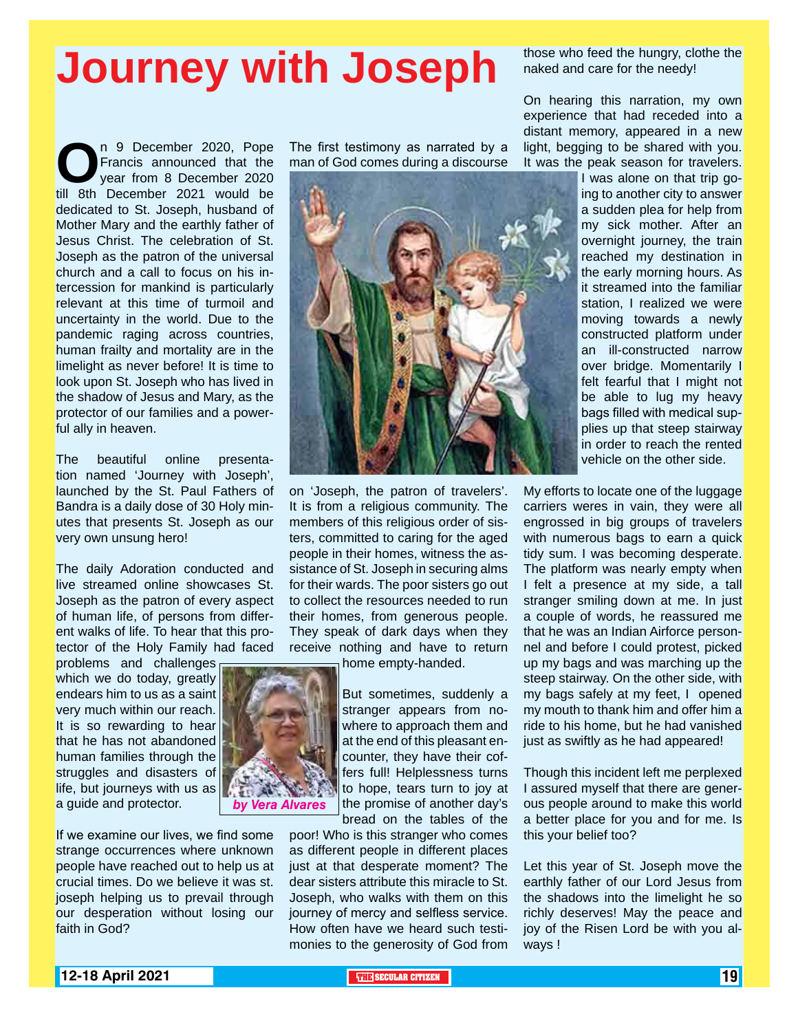## **Journey with Joseph**

**O**n 9 December 2020, Pope<br>
Francis announced that the<br>
till 8th December 2021 would be Francis announced that the year from 8 December 2020 dedicated to St. Joseph, husband of Mother Mary and the earthly father of Jesus Christ. The celebration of St. Joseph as the patron of the universal church and a call to focus on his intercession for mankind is particularly relevant at this time of turmoil and uncertainty in the world. Due to the pandemic raging across countries, human frailty and mortality are in the limelight as never before! It is time to look upon St. Joseph who has lived in the shadow of Jesus and Mary, as the protector of our families and a powerful ally in heaven.

The beautiful online presentation named 'Journey with Joseph', launched by the St. Paul Fathers of Bandra is a daily dose of 30 Holy minutes that presents St. Joseph as our very own unsung hero!

The daily Adoration conducted and live streamed online showcases St. Joseph as the patron of every aspect of human life, of persons from different walks of life. To hear that this protector of the Holy Family had faced

problems and challenges which we do today, greatly endears him to us as a saint very much within our reach. It is so rewarding to hear that he has not abandoned human families through the struggles and disasters of life, but journeys with us as a guide and protector.

If we examine our lives, we find some strange occurrences where unknown people have reached out to help us at crucial times. Do we believe it was st. joseph helping us to prevail through our desperation without losing our faith in God?

The first testimony as narrated by a man of God comes during a discourse

![](_page_18_Picture_7.jpeg)

on 'Joseph, the patron of travelers'. It is from a religious community. The members of this religious order of sisters, committed to caring for the aged people in their homes, witness the assistance of St. Joseph in securing alms for their wards. The poor sisters go out to collect the resources needed to run their homes, from generous people. They speak of dark days when they receive nothing and have to return

home empty-handed.

But sometimes, suddenly a stranger appears from nowhere to approach them and at the end of this pleasant encounter, they have their coffers full! Helplessness turns to hope, tears turn to joy at the promise of another day's bread on the tables of the

poor! Who is this stranger who comes as different people in different places just at that desperate moment? The dear sisters attribute this miracle to St. Joseph, who walks with them on this journey of mercy and selfless service. How often have we heard such testimonies to the generosity of God from

those who feed the hungry, clothe the naked and care for the needy!

On hearing this narration, my own experience that had receded into a distant memory, appeared in a new light, begging to be shared with you. It was the peak season for travelers.

> I was alone on that trip going to another city to answer a sudden plea for help from my sick mother. After an overnight journey, the train reached my destination in the early morning hours. As it streamed into the familiar station, I realized we were moving towards a newly constructed platform under an ill-constructed narrow over bridge. Momentarily I felt fearful that I might not be able to lug my heavy bags filled with medical supplies up that steep stairway in order to reach the rented vehicle on the other side.

My efforts to locate one of the luggage carriers weres in vain, they were all engrossed in big groups of travelers with numerous bags to earn a quick tidy sum. I was becoming desperate. The platform was nearly empty when I felt a presence at my side, a tall stranger smiling down at me. In just a couple of words, he reassured me that he was an Indian Airforce personnel and before I could protest, picked up my bags and was marching up the steep stairway. On the other side, with my bags safely at my feet, I opened my mouth to thank him and offer him a ride to his home, but he had vanished just as swiftly as he had appeared!

Though this incident left me perplexed I assured myself that there are generous people around to make this world a better place for you and for me. Is this your belief too?

Let this year of St. Joseph move the earthly father of our Lord Jesus from the shadows into the limelight he so richly deserves! May the peace and joy of the Risen Lord be with you always !

![](_page_18_Picture_18.jpeg)